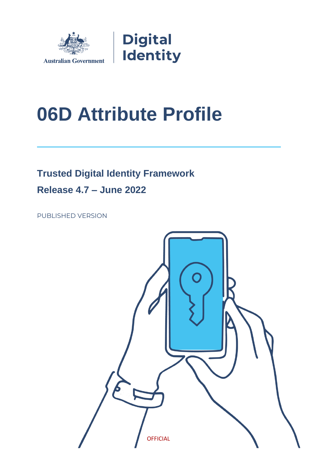

# **06D Attribute Profile**

**Trusted Digital Identity Framework** 

**Release 4.7 – June 2022**

PUBLISHED VERSION

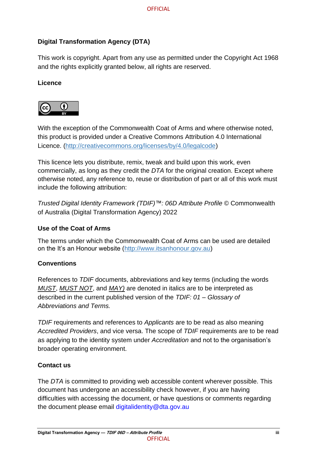#### **Digital Transformation Agency (DTA)**

This work is copyright. Apart from any use as permitted under the Copyright Act 1968 and the rights explicitly granted below, all rights are reserved.

#### **Licence**



With the exception of the Commonwealth Coat of Arms and where otherwise noted, this product is provided under a Creative Commons Attribution 4.0 International Licence. [\(http://creativecommons.org/licenses/by/4.0/legalcode\)](http://creativecommons.org/licenses/by/4.0/legalcode)

This licence lets you distribute, remix, tweak and build upon this work, even commercially, as long as they credit the *DTA* for the original creation. Except where otherwise noted, any reference to, reuse or distribution of part or all of this work must include the following attribution:

*Trusted Digital Identity Framework (TDIF)™: 06D Attribute Profile* © Commonwealth of Australia (Digital Transformation Agency) 2022

#### **Use of the Coat of Arms**

The terms under which the Commonwealth Coat of Arms can be used are detailed on the It's an Honour website [\(http://www.itsanhonour.gov.au\)](http://www.itsanhonour.gov.au/)

#### **Conventions**

References to *TDIF* documents, abbreviations and key terms (including the words *MUST*, *MUST NOT*, and *MAY)* are denoted in italics are to be interpreted as described in the current published version of the *TDIF: 01 – Glossary of Abbreviations and Terms.*

*TDIF* requirements and references to *Applicants* are to be read as also meaning *Accredited Providers*, and vice versa. The scope of *TDIF* requirements are to be read as applying to the identity system under *Accreditation* and not to the organisation's broader operating environment.

#### **Contact us**

The *DTA* is committed to providing web accessible content wherever possible. This document has undergone an accessibility check however, if you are having difficulties with accessing the document, or have questions or comments regarding the document please email [digitalidentity@dta.gov.au](mailto:digitalidentity@dta.gov.au)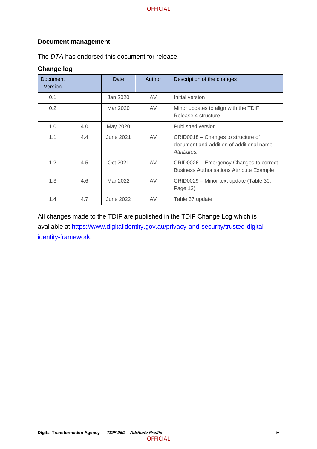#### **Document management**

The *DTA* has endorsed this document for release.

#### **Change log**

| <b>Document</b><br>Version |     | Date             | Author    | Description of the changes                                                                    |
|----------------------------|-----|------------------|-----------|-----------------------------------------------------------------------------------------------|
| 0.1                        |     | Jan 2020         | AV        | Initial version                                                                               |
| 0.2                        |     | Mar 2020         | <b>AV</b> | Minor updates to align with the TDIF<br>Release 4 structure.                                  |
| 1.0                        | 4.0 | May 2020         |           | Published version                                                                             |
| 1.1                        | 4.4 | <b>June 2021</b> | AV        | CRID0018 - Changes to structure of<br>document and addition of additional name<br>Attributes. |
| 1.2                        | 4.5 | Oct 2021         | AV        | CRID0026 – Emergency Changes to correct<br><b>Business Authorisations Attribute Example</b>   |
| 1.3                        | 4.6 | Mar 2022         | AV        | CRID0029 - Minor text update (Table 30,<br>Page 12)                                           |
| 1.4                        | 4.7 | June 2022        | AV        | Table 37 update                                                                               |

All changes made to the TDIF are published in the TDIF Change Log which is available at [https://www.digitalidentity.gov.au/privacy-and-security/trusted-digital](https://www.digitalidentity.gov.au/privacy-and-security/trusted-digital-identity-framework)[identity-framework.](https://www.digitalidentity.gov.au/privacy-and-security/trusted-digital-identity-framework)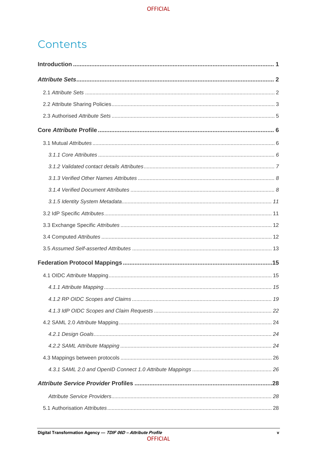## Contents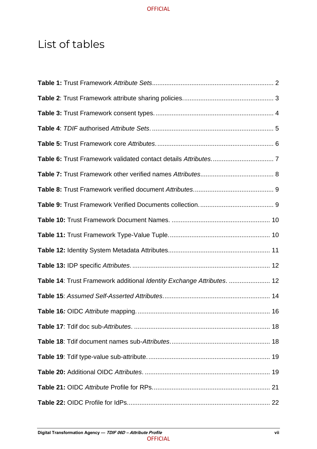## List of tables

| Table 14: Trust Framework additional Identity Exchange Attributes.  12 |  |
|------------------------------------------------------------------------|--|
|                                                                        |  |
|                                                                        |  |
|                                                                        |  |
|                                                                        |  |
|                                                                        |  |
|                                                                        |  |
|                                                                        |  |
|                                                                        |  |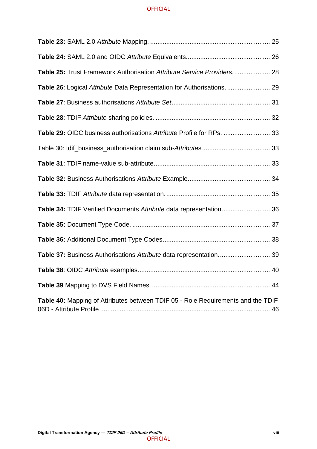| Table 25: Trust Framework Authorisation Attribute Service Providers 28           |  |
|----------------------------------------------------------------------------------|--|
| Table 26: Logical Attribute Data Representation for Authorisations.  29          |  |
|                                                                                  |  |
|                                                                                  |  |
| Table 29: OIDC business authorisations Attribute Profile for RPs.  33            |  |
|                                                                                  |  |
|                                                                                  |  |
|                                                                                  |  |
|                                                                                  |  |
| Table 34: TDIF Verified Documents Attribute data representation 36               |  |
|                                                                                  |  |
|                                                                                  |  |
| Table 37: Business Authorisations Attribute data representation 39               |  |
|                                                                                  |  |
|                                                                                  |  |
| Table 40: Mapping of Attributes between TDIF 05 - Role Requirements and the TDIF |  |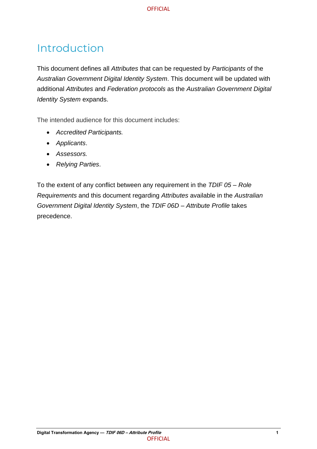## <span id="page-7-0"></span>Introduction

This document defines all *Attributes* that can be requested by *Participants* of the *Australian Government Digital Identity System*. This document will be updated with additional *Attributes* and *Federation protocols* as the *Australian Government Digital Identity System* expands.

The intended audience for this document includes:

- *Accredited Participants.*
- *Applicants*.
- *Assessors.*
- *Relying Parties*.

To the extent of any conflict between any requirement in the *TDIF 05 – Role Requirements* and this document regarding *Attributes* available in the *Australian Government Digital Identity System*, the *TDIF 06D – Attribute Profile* takes precedence.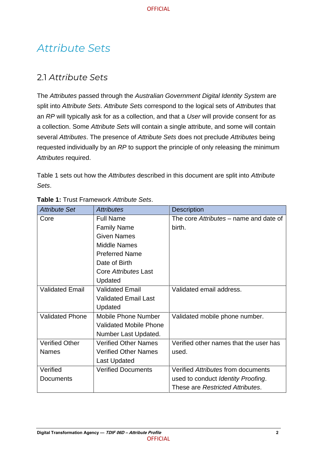## <span id="page-8-0"></span>*Attribute Sets*

## <span id="page-8-1"></span>2.1 *Attribute Sets*

The *Attributes* passed through the *Australian Government Digital Identity System* are split into *Attribute Sets*. *Attribute Sets* correspond to the logical sets of *Attributes* that an *RP* will typically ask for as a collection, and that a *User* will provide consent for as a collection. Some *Attribute Sets* will contain a single attribute, and some will contain several *Attributes*. The presence of *Attribute Sets* does not preclude *Attributes* being requested individually by an *RP* to support the principle of only releasing the minimum *Attributes* required.

[Table 1](#page-8-2) sets out how the *Attributes* described in this document are split into *Attribute Sets*.

| <b>Attribute Set</b>   | <b>Attributes</b>             | <b>Description</b>                     |
|------------------------|-------------------------------|----------------------------------------|
| Core                   | <b>Full Name</b>              | The core Attributes – name and date of |
|                        | <b>Family Name</b>            | birth.                                 |
|                        | <b>Given Names</b>            |                                        |
|                        | <b>Middle Names</b>           |                                        |
|                        | <b>Preferred Name</b>         |                                        |
|                        | Date of Birth                 |                                        |
|                        | Core Attributes Last          |                                        |
|                        | Updated                       |                                        |
| <b>Validated Email</b> | <b>Validated Email</b>        | Validated email address.               |
|                        | <b>Validated Email Last</b>   |                                        |
|                        | Updated                       |                                        |
| <b>Validated Phone</b> | <b>Mobile Phone Number</b>    | Validated mobile phone number.         |
|                        | <b>Validated Mobile Phone</b> |                                        |
|                        | Number Last Updated.          |                                        |
| <b>Verified Other</b>  | <b>Verified Other Names</b>   | Verified other names that the user has |
| <b>Names</b>           | <b>Verified Other Names</b>   | used.                                  |
|                        | <b>Last Updated</b>           |                                        |
| Verified               | <b>Verified Documents</b>     | Verified Attributes from documents     |
| <b>Documents</b>       |                               | used to conduct Identity Proofing.     |
|                        |                               | These are Restricted Attributes.       |

#### <span id="page-8-2"></span>**Table 1:** Trust Framework *Attribute Sets*.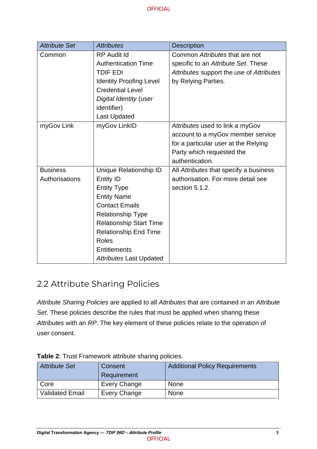| <b>Attribute Set</b> | <b>Attributes</b>              | <b>Description</b>                       |
|----------------------|--------------------------------|------------------------------------------|
| Common               | <b>RP Audit Id</b>             | Common Attributes that are not           |
|                      | <b>Authentication Time</b>     | specific to an Attribute Set. These      |
|                      | <b>TDIF EDI</b>                | Attributes support the use of Attributes |
|                      | <b>Identity Proofing Level</b> | by Relying Parties.                      |
|                      | <b>Credential Level</b>        |                                          |
|                      | Digital Identity (user         |                                          |
|                      | identifier)                    |                                          |
|                      | <b>Last Updated</b>            |                                          |
| myGov Link           | myGov LinkID                   | Attributes used to link a myGov          |
|                      |                                | account to a myGov member service        |
|                      |                                | for a particular user at the Relying     |
|                      |                                | Party which requested the                |
|                      |                                | authentication.                          |
| <b>Business</b>      | Unique Relationship ID         | All Attributes that specify a business   |
| Authorisations       | <b>Entity ID</b>               | authorisation. For more detail see       |
|                      | <b>Entity Type</b>             | section 5.1.2.                           |
|                      | <b>Entity Name</b>             |                                          |
|                      | <b>Contact Emails</b>          |                                          |
|                      | <b>Relationship Type</b>       |                                          |
|                      | <b>Relationship Start Time</b> |                                          |
|                      | <b>Relationship End Time</b>   |                                          |
|                      | <b>Roles</b>                   |                                          |
|                      | <b>Entitlements</b>            |                                          |
|                      | <b>Attributes Last Updated</b> |                                          |

## <span id="page-9-0"></span>2.2 Attribute Sharing Policies

*Attribute Sharing Policies* are applied to all *Attributes* that are contained in an *Attribute Set*. These policies describe the rules that must be applied when sharing these *Attributes* with an *RP*. The key element of these policies relate to the operation of user consent.

| <b>Attribute Set</b>   | Consent      | <b>Additional Policy Requirements</b> |
|------------------------|--------------|---------------------------------------|
|                        | Requirement  |                                       |
| Core                   | Every Change | <b>None</b>                           |
| <b>Validated Email</b> | Every Change | <b>None</b>                           |

<span id="page-9-1"></span>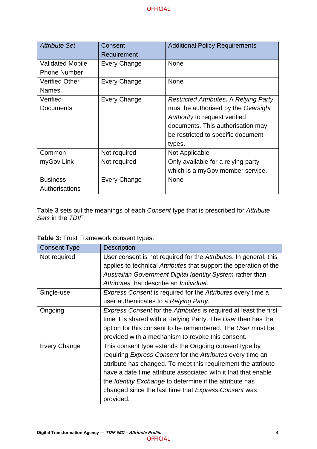| <b>Attribute Set</b>    | Consent             | <b>Additional Policy Requirements</b>         |
|-------------------------|---------------------|-----------------------------------------------|
|                         | Requirement         |                                               |
| <b>Validated Mobile</b> | <b>Every Change</b> | <b>None</b>                                   |
| <b>Phone Number</b>     |                     |                                               |
| <b>Verified Other</b>   | Every Change        | <b>None</b>                                   |
| <b>Names</b>            |                     |                                               |
| Verified                | <b>Every Change</b> | <b>Restricted Attributes. A Relying Party</b> |
| <b>Documents</b>        |                     | must be authorised by the Oversight           |
|                         |                     | Authority to request verified                 |
|                         |                     | documents. This authorisation may             |
|                         |                     | be restricted to specific document            |
|                         |                     | types.                                        |
| Common                  | Not required        | Not Applicable                                |
| myGov Link              | Not required        | Only available for a relying party            |
|                         |                     | which is a myGov member service.              |
| <b>Business</b>         | Every Change        | <b>None</b>                                   |
| Authorisations          |                     |                                               |

Table 3 sets out the meanings of each *Consent* type that is prescribed for *Attribute Sets* in the *TDIF*.

| <b>Consent Type</b> | <b>Description</b>                                                              |
|---------------------|---------------------------------------------------------------------------------|
| Not required        | User consent is not required for the Attributes. In general, this               |
|                     | applies to technical Attributes that support the operation of the               |
|                     | Australian Government Digital Identity System rather than                       |
|                     | Attributes that describe an Individual.                                         |
| Single-use          | Express Consent is required for the Attributes every time a                     |
|                     | user authenticates to a Relying Party.                                          |
| Ongoing             | <i>Express Consent</i> for the <i>Attributes</i> is required at least the first |
|                     | time it is shared with a Relying Party. The User then has the                   |
|                     | option for this consent to be remembered. The User must be                      |
|                     | provided with a mechanism to revoke this consent.                               |
| Every Change        | This consent type extends the Ongoing consent type by                           |
|                     | requiring Express Consent for the Attributes every time an                      |
|                     | attribute has changed. To meet this requirement the attribute                   |
|                     | have a date time attribute associated with it that that enable                  |
|                     | the <i>Identity Exchange</i> to determine if the attribute has                  |
|                     | changed since the last time that Express Consent was                            |
|                     | provided.                                                                       |

<span id="page-10-0"></span>**Table 3:** Trust Framework consent types.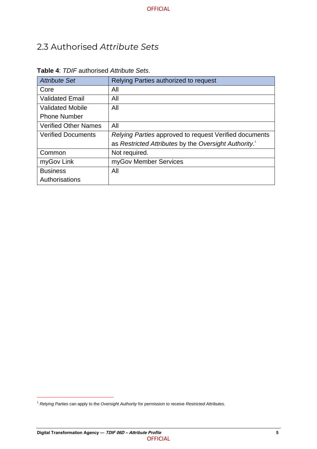## <span id="page-11-0"></span>2.3 Authorised *Attribute Sets*

| <b>Attribute Set</b>        | Relying Parties authorized to request                             |
|-----------------------------|-------------------------------------------------------------------|
| Core                        | All                                                               |
| <b>Validated Email</b>      | All                                                               |
| <b>Validated Mobile</b>     | All                                                               |
| <b>Phone Number</b>         |                                                                   |
| <b>Verified Other Names</b> | All                                                               |
| <b>Verified Documents</b>   | Relying Parties approved to request Verified documents            |
|                             | as Restricted Attributes by the Oversight Authority. <sup>1</sup> |
| Common                      | Not required.                                                     |
| myGov Link                  | myGov Member Services                                             |
| <b>Business</b>             | All                                                               |
| Authorisations              |                                                                   |

#### <span id="page-11-1"></span>**Table 4**: *TDIF* authorised *Attribute Sets*.

<sup>1</sup> *Relying Parties* can apply to the *Oversight Authority* for permission to receive *Restricted Attributes*.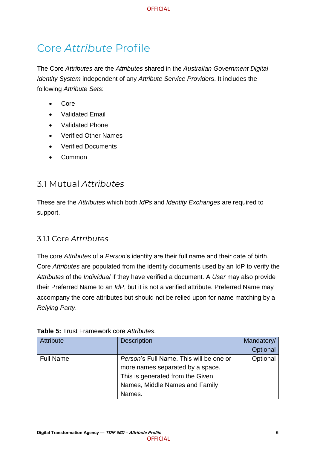## <span id="page-12-0"></span>Core *Attribute* Profile

The Core *Attributes* are the *Attributes* shared in the *Australian Government Digital Identity System* independent of any *Attribute Service Provider*s. It includes the following *Attribute Sets*:

- Core
- Validated Email
- Validated Phone
- Verified Other Names
- Verified Documents
- Common

## <span id="page-12-1"></span>3.1 Mutual *Attributes*

These are the *Attributes* which both *IdPs* and *Identity Exchanges* are required to support.

### <span id="page-12-2"></span>3.1.1 Core *Attributes*

The core *Attributes* of a *Person*'s identity are their full name and their date of birth. Core *Attributes* are populated from the identity documents used by an IdP to verify the *Attributes* of the *Individual* if they have verified a document. A *User* may also provide their Preferred Name to an *IdP*, but it is not a verified attribute. Preferred Name may accompany the core attributes but should not be relied upon for name matching by a *Relying Party*.

| <b>Attribute</b> | <b>Description</b>                                                                                                                                                 | Mandatory/<br>Optional |
|------------------|--------------------------------------------------------------------------------------------------------------------------------------------------------------------|------------------------|
| <b>Full Name</b> | <i>Person's</i> Full Name. This will be one or<br>more names separated by a space.<br>This is generated from the Given<br>Names, Middle Names and Family<br>Names. | Optional               |

#### <span id="page-12-3"></span>**Table 5:** Trust Framework core *Attributes*.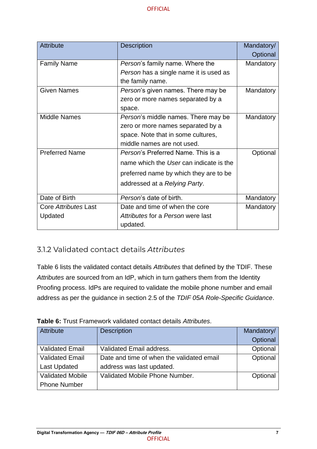| <b>Attribute</b>            | <b>Description</b>                         | Mandatory/ |
|-----------------------------|--------------------------------------------|------------|
|                             |                                            | Optional   |
| <b>Family Name</b>          | <i>Person's</i> family name. Where the     | Mandatory  |
|                             | Person has a single name it is used as     |            |
|                             | the family name.                           |            |
| <b>Given Names</b>          | Person's given names. There may be         | Mandatory  |
|                             | zero or more names separated by a          |            |
|                             | space.                                     |            |
| <b>Middle Names</b>         | <i>Person's</i> middle names. There may be | Mandatory  |
|                             | zero or more names separated by a          |            |
|                             | space. Note that in some cultures,         |            |
|                             | middle names are not used.                 |            |
| <b>Preferred Name</b>       | Person's Preferred Name. This is a         | Optional   |
|                             | name which the User can indicate is the    |            |
|                             | preferred name by which they are to be     |            |
|                             | addressed at a Relying Party.              |            |
| Date of Birth               | Person's date of birth.                    | Mandatory  |
| <b>Core Attributes Last</b> | Date and time of when the core             | Mandatory  |
| Updated                     | Attributes for a Person were last          |            |
|                             | updated.                                   |            |

### <span id="page-13-0"></span>3.1.2 Validated contact details *Attributes*

Table 6 lists the validated contact details *Attributes* that defined by the TDIF. These *Attributes* are sourced from an IdP, which in turn gathers them from the Identity Proofing process. IdPs are required to validate the mobile phone number and email address as per the guidance in section 2.5 of the *TDIF 05A Role-Specific Guidance*.

| <b>Attribute</b>        | <b>Description</b>                        | Mandatory/ |
|-------------------------|-------------------------------------------|------------|
|                         |                                           | Optional   |
| <b>Validated Email</b>  | Validated Email address.                  | Optional   |
| <b>Validated Email</b>  | Date and time of when the validated email | Optional   |
| <b>Last Updated</b>     | address was last updated.                 |            |
| <b>Validated Mobile</b> | Validated Mobile Phone Number.            | Optional   |
| <b>Phone Number</b>     |                                           |            |

<span id="page-13-1"></span>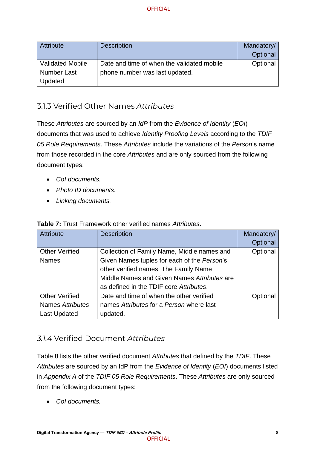| Attribute               | <b>Description</b>                         | Mandatory/<br>Optional |
|-------------------------|--------------------------------------------|------------------------|
| <b>Validated Mobile</b> | Date and time of when the validated mobile | Optional               |
| <b>Number Last</b>      | phone number was last updated.             |                        |
| Updated                 |                                            |                        |

## <span id="page-14-0"></span>3.1.3 Verified Other Names *Attributes*

These *Attributes* are sourced by an *IdP* from the *Evidence of Identity* (*EOI*) documents that was used to achieve *Identity Proofing Levels* according to the *TDIF 05 Role Requirements*. These *Attributes* include the variations of the *Person*'s name from those recorded in the core *Attributes* and are only sourced from the following document types:

- *CoI documents.*
- *Photo ID documents.*
- *Linking documents.*

| <b>Attribute</b>      | <b>Description</b>                          | Mandatory/ |
|-----------------------|---------------------------------------------|------------|
|                       |                                             | Optional   |
| <b>Other Verified</b> | Collection of Family Name, Middle names and | Optional   |
| <b>Names</b>          | Given Names tuples for each of the Person's |            |
|                       | other verified names. The Family Name,      |            |
|                       | Middle Names and Given Names Attributes are |            |
|                       | as defined in the TDIF core Attributes.     |            |
| <b>Other Verified</b> | Date and time of when the other verified    | Optional   |
| Names Attributes      | names Attributes for a Person where last    |            |
| Last Updated          | updated.                                    |            |

<span id="page-14-2"></span>**Table 7:** Trust Framework other verified names *Attributes*.

### <span id="page-14-1"></span>*3.1.4* Verified Document *Attributes*

Table 8 lists the other verified document *Attributes* that defined by the *TDIF*. These *Attributes* are sourced by an IdP from the *Evidence of Identity* (*EOI*) documents listed in *Appendix A* of the *TDIF 05 Role Requirements*. These *Attributes* are only sourced from the following document types:

• *CoI documents.*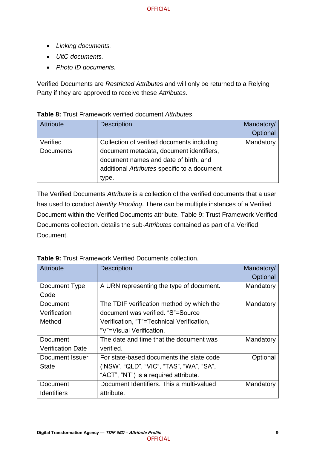- *Linking documents.*
- *UitC documents.*
- *Photo ID documents.*

Verified Documents are *Restricted Attributes* and will only be returned to a Relying Party if they are approved to receive these *Attributes*.

| <b>Attribute</b>             | <b>Description</b>                                                                                                                                                                       | Mandatory/<br>Optional |
|------------------------------|------------------------------------------------------------------------------------------------------------------------------------------------------------------------------------------|------------------------|
| Verified<br><b>Documents</b> | Collection of verified documents including<br>document metadata, document identifiers,<br>document names and date of birth, and<br>additional Attributes specific to a document<br>type. | Mandatory              |

<span id="page-15-0"></span>**Table 8:** Trust Framework verified document *Attributes*.

The Verified Documents *Attribute* is a collection of the verified documents that a user has used to conduct *Identity Proofing*. There can be multiple instances of a Verified Document within the Verified Documents attribute. Table 9: [Trust Framework Verified](#page-15-1)  [Documents collection.](#page-15-1) details the sub-*Attributes* contained as part of a Verified Document.

| <b>Attribute</b>         | <b>Description</b>                        | Mandatory/ |
|--------------------------|-------------------------------------------|------------|
|                          |                                           | Optional   |
| Document Type            | A URN representing the type of document.  | Mandatory  |
| Code                     |                                           |            |
| Document                 | The TDIF verification method by which the | Mandatory  |
| Verification             | document was verified. "S"=Source         |            |
| Method                   | Verification, "T"=Technical Verification, |            |
|                          | "V"=Visual Verification.                  |            |
| Document                 | The date and time that the document was   | Mandatory  |
| <b>Verification Date</b> | verified.                                 |            |
| Document Issuer          | For state-based documents the state code  | Optional   |
| <b>State</b>             | ('NSW', "QLD", "VIC", "TAS", "WA", "SA",  |            |
|                          | "ACT", "NT") is a required attribute.     |            |
| Document                 | Document Identifiers. This a multi-valued | Mandatory  |
| <b>Identifiers</b>       | attribute.                                |            |

<span id="page-15-1"></span>**Table 9:** Trust Framework Verified Documents collection.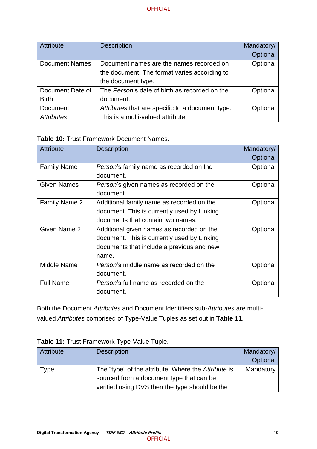| Attribute             | <b>Description</b>                               | Mandatory/ |
|-----------------------|--------------------------------------------------|------------|
|                       |                                                  | Optional   |
| <b>Document Names</b> | Document names are the names recorded on         | Optional   |
|                       | the document. The format varies according to     |            |
|                       | the document type.                               |            |
| Document Date of      | The Person's date of birth as recorded on the    | Optional   |
| <b>Birth</b>          | document.                                        |            |
| Document              | Attributes that are specific to a document type. | Optional   |
| <b>Attributes</b>     | This is a multi-valued attribute.                |            |

#### <span id="page-16-0"></span>**Table 10:** Trust Framework Document Names.

| <b>Attribute</b>     | <b>Description</b>                           | Mandatory/ |
|----------------------|----------------------------------------------|------------|
|                      |                                              | Optional   |
| <b>Family Name</b>   | Person's family name as recorded on the      | Optional   |
|                      | document.                                    |            |
| <b>Given Names</b>   | Person's given names as recorded on the      | Optional   |
|                      | document.                                    |            |
| <b>Family Name 2</b> | Additional family name as recorded on the    | Optional   |
|                      | document. This is currently used by Linking  |            |
|                      | documents that contain two names.            |            |
| <b>Given Name 2</b>  | Additional given names as recorded on the    | Optional   |
|                      | document. This is currently used by Linking  |            |
|                      | documents that include a previous and new    |            |
|                      | name.                                        |            |
| Middle Name          | Person's middle name as recorded on the      | Optional   |
|                      | document.                                    |            |
| <b>Full Name</b>     | <i>Person's</i> full name as recorded on the | Optional   |
|                      | document.                                    |            |

Both the Document *Attributes* and Document Identifiers sub-*Attributes* are multivalued *Attributes* comprised of Type-Value Tuples as set out in **[Table 11](#page-16-1)**.

| <b>Attribute</b> | <b>Description</b>                                  | Mandatory/<br>Optional |
|------------------|-----------------------------------------------------|------------------------|
| Type             | The "type" of the attribute. Where the Attribute is | Mandatory              |
|                  | sourced from a document type that can be            |                        |
|                  | verified using DVS then the type should be the      |                        |

#### <span id="page-16-1"></span>**Table 11:** Trust Framework Type-Value Tuple.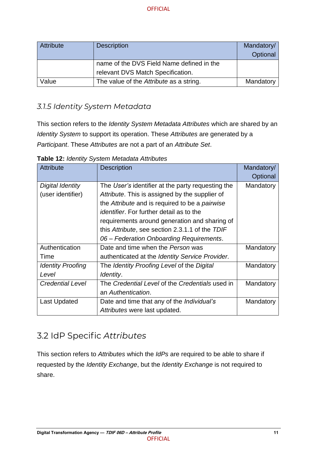| Attribute | <b>Description</b>                        | Mandatory/ |
|-----------|-------------------------------------------|------------|
|           |                                           | Optional   |
|           | name of the DVS Field Name defined in the |            |
|           | relevant DVS Match Specification.         |            |
| Value     | The value of the Attribute as a string.   | Mandatory  |

## <span id="page-17-0"></span>*3.1.5 Identity System Metadata*

This section refers to the *Identity System Metadata Attributes* which are shared by an *Identity System* to support its operation. These *Attributes* are generated by a *Participant*. These *Attributes* are not a part of an *Attribute Set*.

| <b>Attribute</b>         | <b>Description</b>                                | Mandatory/ |
|--------------------------|---------------------------------------------------|------------|
|                          |                                                   | Optional   |
| Digital Identity         | The User's identifier at the party requesting the | Mandatory  |
| (user identifier)        | Attribute. This is assigned by the supplier of    |            |
|                          | the Attribute and is required to be a pairwise    |            |
|                          | <i>identifier</i> . For further detail as to the  |            |
|                          | requirements around generation and sharing of     |            |
|                          | this Attribute, see section 2.3.1.1 of the TDIF   |            |
|                          | 06 – Federation Onboarding Requirements.          |            |
| Authentication           | Date and time when the Person was                 | Mandatory  |
| Time                     | authenticated at the Identity Service Provider.   |            |
| <b>Identity Proofing</b> | The Identity Proofing Level of the Digital        | Mandatory  |
| Level                    | Identity.                                         |            |
| <b>Credential Level</b>  | The Credential Level of the Credentials used in   | Mandatory  |
|                          | an Authentication.                                |            |
| Last Updated             | Date and time that any of the <i>Individual's</i> | Mandatory  |
|                          | Attributes were last updated.                     |            |

<span id="page-17-2"></span>**Table 12:** *Identity System Metadata Attributes*

## <span id="page-17-1"></span>3.2 IdP Specific *Attributes*

This section refers to *Attributes* which the *IdPs* are required to be able to share if requested by the *Identity Exchange*, but the *Identity Exchange* is not required to share.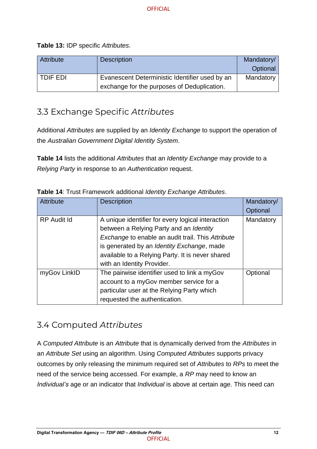<span id="page-18-2"></span>**Table 13:** IDP specific *Attributes*.

| Attribute | <b>Description</b>                                                                            | Mandatory/<br>Optional |
|-----------|-----------------------------------------------------------------------------------------------|------------------------|
| TDIF EDI  | Evanescent Deterministic Identifier used by an<br>exchange for the purposes of Deduplication. | Mandatory              |

## <span id="page-18-0"></span>3.3 Exchange Specific *Attributes*

Additional *Attributes* are supplied by an *Identity Exchange* to support the operation of the *Australian Government Digital Identity System*.

**[Table 14](#page-18-3)** lists the additional *Attributes* that an *Identity Exchange* may provide to a *Relying Party* in response to an *Authentication* request.

| <b>Attribute</b>   | <b>Description</b>                                       | Mandatory/ |
|--------------------|----------------------------------------------------------|------------|
|                    |                                                          | Optional   |
| <b>RP Audit Id</b> | A unique identifier for every logical interaction        | Mandatory  |
|                    | between a Relying Party and an Identity                  |            |
|                    | <b>Exchange to enable an audit trail. This Attribute</b> |            |
|                    | is generated by an Identity Exchange, made               |            |
|                    | available to a Relying Party. It is never shared         |            |
|                    | with an Identity Provider.                               |            |
| myGov LinkID       | The pairwise identifier used to link a myGov             | Optional   |
|                    | account to a myGov member service for a                  |            |
|                    | particular user at the Relying Party which               |            |
|                    | requested the authentication.                            |            |

<span id="page-18-3"></span>**Table 14**: Trust Framework additional *Identity Exchange Attributes*.

## <span id="page-18-1"></span>3.4 Computed *Attributes*

A *Computed Attribute* is an *Attribute* that is dynamically derived from the *Attributes* in an *Attribute Set* using an algorithm. Using *Computed Attributes* supports privacy outcomes by only releasing the minimum required set of *Attributes* to *RPs* to meet the need of the service being accessed. For example, a *RP* may need to know an *Individual's* age or an indicator that *Individual* is above at certain age. This need can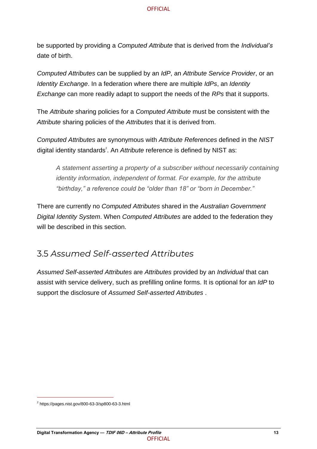be supported by providing a *Computed Attribute* that is derived from the *Individual's* date of birth.

*Computed Attributes* can be supplied by an *IdP*, an *Attribute Service Provider*, or an *Identity Exchange*. In a federation where there are multiple *IdPs*, an *Identity Exchange* can more readily adapt to support the needs of the *RPs* that it supports.

The *Attribute* sharing policies for a *Computed Attribute* must be consistent with the *Attribute* sharing policies of the *Attributes* that it is derived from.

*Computed Attributes* are synonymous with *Attribute References* defined in the *NIST* digital identity standards<sup>2</sup>. An *Attribute* reference is defined by NIST as:

*A statement asserting a property of a subscriber without necessarily containing identity information, independent of format. For example, for the attribute "birthday," a reference could be "older than 18" or "born in December."*

There are currently no *Computed Attributes* shared in the *Australian Government Digital Identity System*. When *Computed Attributes* are added to the federation they will be described in this section.

## <span id="page-19-0"></span>3.5 *Assumed Self-asserted Attributes*

*Assumed Self-asserted Attributes* are *Attributes* provided by an *Individual* that can assist with service delivery, such as prefilling online forms. It is optional for an *IdP* to support the disclosure of *Assumed Self-asserted Attributes* .

 $^2$  https://pages.nist.gov/800-63-3/sp800-63-3.html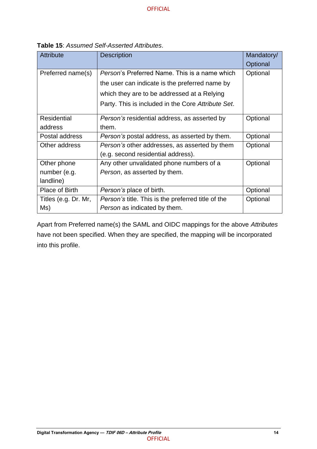| <b>Attribute</b>     | <b>Description</b>                                        | Mandatory/ |
|----------------------|-----------------------------------------------------------|------------|
|                      |                                                           | Optional   |
| Preferred name(s)    | <i>Person's</i> Preferred Name. This is a name which      | Optional   |
|                      | the user can indicate is the preferred name by            |            |
|                      | which they are to be addressed at a Relying               |            |
|                      | Party. This is included in the Core Attribute Set.        |            |
| <b>Residential</b>   | Person's residential address, as asserted by              | Optional   |
| address              | them.                                                     |            |
| Postal address       | <i>Person's</i> postal address, as asserted by them.      | Optional   |
| Other address        | Person's other addresses, as asserted by them             | Optional   |
|                      | (e.g. second residential address).                        |            |
| Other phone          | Any other unvalidated phone numbers of a                  | Optional   |
| number (e.g.         | Person, as asserted by them.                              |            |
| landline)            |                                                           |            |
| Place of Birth       | <i>Person's</i> place of birth.                           | Optional   |
| Titles (e.g. Dr. Mr, | <i>Person's</i> title. This is the preferred title of the | Optional   |
| Ms)                  | Person as indicated by them.                              |            |

<span id="page-20-0"></span>**Table 15**: *Assumed Self-Asserted Attributes*.

Apart from Preferred name(s) the SAML and OIDC mappings for the above *Attributes*  have not been specified. When they are specified, the mapping will be incorporated into this profile.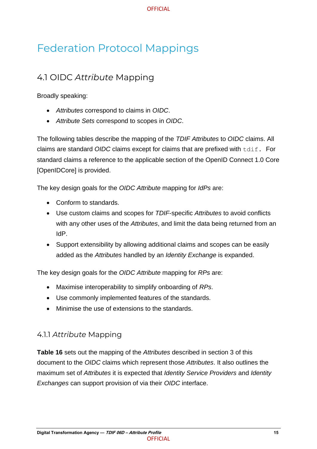## <span id="page-21-0"></span>Federation Protocol Mappings

## <span id="page-21-1"></span>4.1 OIDC *Attribute* Mapping

Broadly speaking:

- *Attributes* correspond to claims in *OIDC*.
- *Attribute Sets* correspond to scopes in *OIDC*.

The following tables describe the mapping of the *TDIF Attributes* to *OIDC* claims. All claims are standard *OIDC* claims except for claims that are prefixed with tdif. For standard claims a reference to the applicable section of the OpenID Connect 1.0 Core [OpenIDCore] is provided.

The key design goals for the *OIDC Attribute* mapping for *IdPs* are:

- Conform to standards.
- Use custom claims and scopes for *TDIF*-specific *Attributes* to avoid conflicts with any other uses of the *Attributes*, and limit the data being returned from an IdP.
- Support extensibility by allowing additional claims and scopes can be easily added as the *Attributes* handled by an *Identity Exchange* is expanded.

The key design goals for the *OIDC Attribute* mapping for *RPs* are:

- Maximise interoperability to simplify onboarding of *RPs*.
- Use commonly implemented features of the standards.
- Minimise the use of extensions to the standards.

#### <span id="page-21-2"></span>4.1.1 *Attribute* Mapping

**[Table 16](#page-22-0)** sets out the mapping of the *Attributes* described in section 3 of this document to the *OIDC* claims which represent those *Attributes*. It also outlines the maximum set of *Attributes* it is expected that *Identity Service Providers* and *Identity Exchanges* can support provision of via their *OIDC* interface.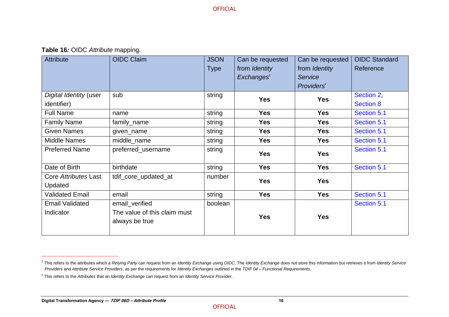**Table 16***:* OIDC *Attribute* mapping.

| Attribute                             | <b>OIDC Claim</b>                                                | <b>JSON</b><br><b>Type</b> | Can be requested<br>from Identity<br>Exchanges <sup>3</sup> | Can be requested<br>from Identity<br><b>Service</b><br>Providers <sup>4</sup> | <b>OIDC Standard</b><br>Reference |
|---------------------------------------|------------------------------------------------------------------|----------------------------|-------------------------------------------------------------|-------------------------------------------------------------------------------|-----------------------------------|
| Digital Identity (user<br>identifier) | sub                                                              | string                     | <b>Yes</b>                                                  | <b>Yes</b>                                                                    | Section 2,<br><b>Section 8</b>    |
| <b>Full Name</b>                      | name                                                             | string                     | <b>Yes</b>                                                  | <b>Yes</b>                                                                    | Section 5.1                       |
| <b>Family Name</b>                    | family_name                                                      | string                     | <b>Yes</b>                                                  | <b>Yes</b>                                                                    | Section 5.1                       |
| <b>Given Names</b>                    | given_name                                                       | string                     | <b>Yes</b>                                                  | <b>Yes</b>                                                                    | Section 5.1                       |
| <b>Middle Names</b>                   | middle_name                                                      | string                     | <b>Yes</b>                                                  | <b>Yes</b>                                                                    | Section 5.1                       |
| <b>Preferred Name</b>                 | preferred_username                                               | string                     | <b>Yes</b>                                                  | <b>Yes</b>                                                                    | Section 5.1                       |
| Date of Birth                         | birthdate                                                        | string                     | <b>Yes</b>                                                  | <b>Yes</b>                                                                    | Section 5.1                       |
| Core Attributes Last<br>Updated       | tdif_core_updated_at                                             | number                     | <b>Yes</b>                                                  | <b>Yes</b>                                                                    |                                   |
| <b>Validated Email</b>                | email                                                            | string                     | <b>Yes</b>                                                  | <b>Yes</b>                                                                    | Section 5.1                       |
| <b>Email Validated</b><br>Indicator   | email_verified<br>The value of this claim must<br>always be true | boolean                    | <b>Yes</b>                                                  | <b>Yes</b>                                                                    | Section 5.1                       |

<span id="page-22-0"></span><sup>&</sup>lt;sup>3</sup> This refers to the attributes which a Relying Party can request from an Identity Exchange using OIDC. The Identity Exchange does not store this information but retrieves it from Identity Service *Providers* and *Attribute Service Providers*, as per the requirements for *Identity Exchanges* outlined in the *TDIF 04 – Functional Requirements.*

<sup>4</sup> This refers to the *Attributes* that an *Identity Exchange* can request from an *Identity Service Provider*.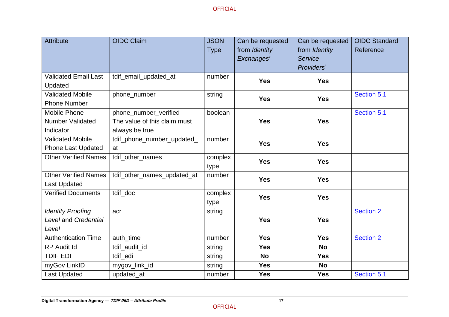| <b>Attribute</b>            | <b>OIDC Claim</b>            | <b>JSON</b><br><b>Type</b> | Can be requested<br>from Identity<br>Exchanges <sup>3</sup> | Can be requested<br>from Identity<br>Service<br>Providers <sup>4</sup> | <b>OIDC Standard</b><br>Reference |
|-----------------------------|------------------------------|----------------------------|-------------------------------------------------------------|------------------------------------------------------------------------|-----------------------------------|
| <b>Validated Email Last</b> | tdif_email_updated_at        | number                     | <b>Yes</b>                                                  | <b>Yes</b>                                                             |                                   |
| Updated                     |                              |                            |                                                             |                                                                        |                                   |
| <b>Validated Mobile</b>     | phone_number                 | string                     | <b>Yes</b>                                                  | <b>Yes</b>                                                             | Section 5.1                       |
| <b>Phone Number</b>         |                              |                            |                                                             |                                                                        |                                   |
| <b>Mobile Phone</b>         | phone_number_verified        | boolean                    |                                                             |                                                                        | Section 5.1                       |
| <b>Number Validated</b>     | The value of this claim must |                            | <b>Yes</b>                                                  | <b>Yes</b>                                                             |                                   |
| Indicator                   | always be true               |                            |                                                             |                                                                        |                                   |
| <b>Validated Mobile</b>     | tdif_phone_number_updated_   | number                     | <b>Yes</b>                                                  | <b>Yes</b>                                                             |                                   |
| <b>Phone Last Updated</b>   | at                           |                            |                                                             |                                                                        |                                   |
| <b>Other Verified Names</b> | tdif_other_names             | complex<br>type            | <b>Yes</b>                                                  | <b>Yes</b>                                                             |                                   |
| <b>Other Verified Names</b> | tdif_other_names_updated_at  | number                     | <b>Yes</b>                                                  | <b>Yes</b>                                                             |                                   |
| <b>Last Updated</b>         |                              |                            |                                                             |                                                                        |                                   |
| <b>Verified Documents</b>   | tdif doc                     | complex<br>type            | <b>Yes</b>                                                  | <b>Yes</b>                                                             |                                   |
| <b>Identity Proofing</b>    | acr                          | string                     |                                                             |                                                                        | <b>Section 2</b>                  |
| Level and Credential        |                              |                            | <b>Yes</b>                                                  | <b>Yes</b>                                                             |                                   |
| Level                       |                              |                            |                                                             |                                                                        |                                   |
| <b>Authentication Time</b>  | auth_time                    | number                     | <b>Yes</b>                                                  | <b>Yes</b>                                                             | <b>Section 2</b>                  |
| <b>RP Audit Id</b>          | tdif_audit_id                | string                     | <b>Yes</b>                                                  | <b>No</b>                                                              |                                   |
| <b>TDIF EDI</b>             | tdif_edi                     | string                     | <b>No</b>                                                   | <b>Yes</b>                                                             |                                   |
| myGov LinkID                | mygov_link_id                | string                     | <b>Yes</b>                                                  | <b>No</b>                                                              |                                   |
| <b>Last Updated</b>         | updated_at                   | number                     | <b>Yes</b>                                                  | <b>Yes</b>                                                             | Section 5.1                       |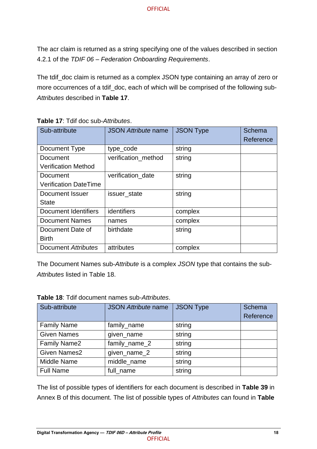The acr claim is returned as a string specifying one of the values described in section 4.2.1 of the *TDIF 06 – Federation Onboarding Requirements*.

The tdif\_doc claim is returned as a complex JSON type containing an array of zero or more occurrences of a tdif\_doc, each of which will be comprised of the following sub-*Attributes* described in **[Table 17](#page-24-0)**.

| Sub-attribute                | <b>JSON Attribute name</b> | <b>JSON Type</b> | Schema<br>Reference |
|------------------------------|----------------------------|------------------|---------------------|
| Document Type                | type_code                  | string           |                     |
| Document                     | verification method        | string           |                     |
| <b>Verification Method</b>   |                            |                  |                     |
| Document                     | verification_date          | string           |                     |
| <b>Verification DateTime</b> |                            |                  |                     |
| <b>Document Issuer</b>       | issuer_state               | string           |                     |
| <b>State</b>                 |                            |                  |                     |
| Document Identifiers         | identifiers                | complex          |                     |
| <b>Document Names</b>        | names                      | complex          |                     |
| Document Date of             | birthdate                  | string           |                     |
| <b>Birth</b>                 |                            |                  |                     |
| Document Attributes          | attributes                 | complex          |                     |

<span id="page-24-0"></span>**Table 17**: Tdif doc sub-*Attributes*.

The Document Names sub-*Attribute* is a complex *JSON* type that contains the sub-*Attributes* listed in [Table 18.](#page-24-1)

<span id="page-24-1"></span>

| Table 18: Tdif document names sub-Attributes. |  |
|-----------------------------------------------|--|
|                                               |  |

| Sub-attribute       | <b>JSON Attribute name</b> | <b>JSON Type</b> | Schema<br>Reference |
|---------------------|----------------------------|------------------|---------------------|
| <b>Family Name</b>  | family_name                | string           |                     |
| <b>Given Names</b>  | given_name                 | string           |                     |
| <b>Family Name2</b> | family_name_2              | string           |                     |
| <b>Given Names2</b> | given_name_2               | string           |                     |
| Middle Name         | middle_name                | string           |                     |
| <b>Full Name</b>    | full_name                  | string           |                     |

The list of possible types of identifiers for each document is described in **[Table 39](#page-50-0)** in Annex B of this document. The list of possible types of *Attributes* can found in **[Table](#page-50-0)**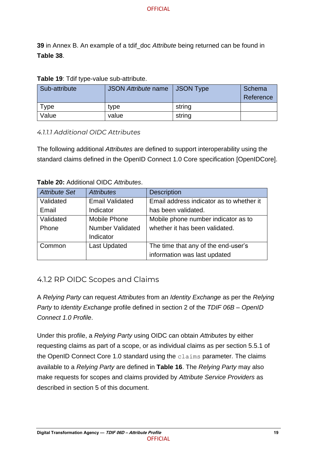**[39](#page-50-0)** in Annex B. An example of a tdif\_doc *Attribute* being returned can be found in **[Table 38](#page-46-1)**.

<span id="page-25-1"></span>

|  |  | Table 19: Tdif type-value sub-attribute. |  |
|--|--|------------------------------------------|--|
|--|--|------------------------------------------|--|

| Sub-attribute | <b>JSON Attribute name</b> | <b>JSON Type</b> | Schema<br>Reference |
|---------------|----------------------------|------------------|---------------------|
| Type          | type                       | string           |                     |
| Value         | value                      | string           |                     |

#### *4.1.1.1 Additional OIDC Attributes*

The following additional *Attributes* are defined to support interoperability using the standard claims defined in the OpenID Connect 1.0 Core specification [OpenIDCore].

#### <span id="page-25-2"></span>**Table 20:** Additional OIDC *Attributes*.

| Attribute Set | <b>Attributes</b>       | <b>Description</b>                       |
|---------------|-------------------------|------------------------------------------|
| Validated     | <b>Email Validated</b>  | Email address indicator as to whether it |
| Email         | Indicator               | has been validated.                      |
| Validated     | Mobile Phone            | Mobile phone number indicator as to      |
| Phone         | <b>Number Validated</b> | whether it has been validated.           |
|               | Indicator               |                                          |
| Common        | <b>Last Updated</b>     | The time that any of the end-user's      |
|               |                         | information was last updated             |

#### <span id="page-25-0"></span>4.1.2 RP OIDC Scopes and Claims

A *Relying Party* can request *Attributes* from an *Identity Exchange* as per the *Relying Party* to *Identity Exchange* profile defined in section 2 of the *TDIF 06B – OpenID Connect 1.0 Profile*.

Under this profile, a *Relying Party* using OIDC can obtain *Attributes* by either requesting claims as part of a scope, or as individual claims as per section 5.5.1 of the OpenID Connect Core 1.0 standard using the claims parameter. The claims available to a *Relying Party* are defined in **[Table 16](#page-22-0)**. The *Relying Party* may also make requests for scopes and claims provided by *Attribute Service Providers* as described in section 5 of this document.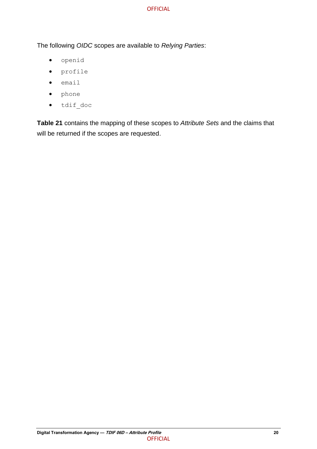The following *OIDC* scopes are available to *Relying Parties*:

- openid
- profile
- email
- phone
- tdif\_doc

**[Table 21](#page-27-0)** contains the mapping of these scopes to *Attribute Sets* and the claims that will be returned if the scopes are requested.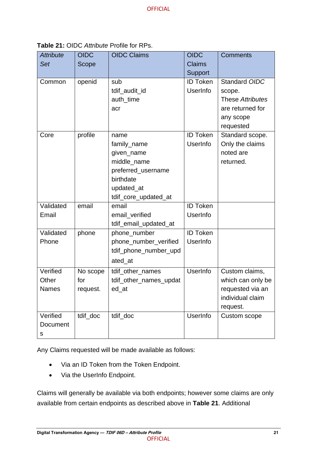| <b>Attribute</b><br>Set           | <b>OIDC</b><br>Scope        | <b>OIDC Claims</b>                                                                                                        | <b>OIDC</b><br><b>Claims</b><br>Support | <b>Comments</b>                                                                           |
|-----------------------------------|-----------------------------|---------------------------------------------------------------------------------------------------------------------------|-----------------------------------------|-------------------------------------------------------------------------------------------|
| Common                            | openid                      | sub<br>tdif_audit_id<br>auth_time<br>acr                                                                                  | <b>ID Token</b><br>UserInfo             | Standard OIDC<br>scope.<br>These Attributes<br>are returned for<br>any scope<br>requested |
| Core                              | profile                     | name<br>family_name<br>given_name<br>middle_name<br>preferred_username<br>birthdate<br>updated_at<br>tdif_core_updated_at | <b>ID Token</b><br>UserInfo             | Standard scope.<br>Only the claims<br>noted are<br>returned.                              |
| Validated<br>Email                | email                       | email<br>email_verified<br>tdif_email_updated_at                                                                          | <b>ID Token</b><br>UserInfo             |                                                                                           |
| Validated<br>Phone                | phone                       | phone_number<br>phone_number_verified<br>tdif_phone_number_upd<br>ated_at                                                 | <b>ID Token</b><br>UserInfo             |                                                                                           |
| Verified<br>Other<br>Names        | No scope<br>for<br>request. | tdif_other_names<br>tdif_other_names_updat<br>ed_at                                                                       | <b>UserInfo</b>                         | Custom claims,<br>which can only be<br>requested via an<br>individual claim<br>request.   |
| Verified<br>Document<br>${\sf s}$ | tdif doc                    | tdif_doc                                                                                                                  | <b>UserInfo</b>                         | Custom scope                                                                              |

<span id="page-27-0"></span>**Table 21:** OIDC *Attribute* Profile for RPs.

Any Claims requested will be made available as follows:

- Via an ID Token from the Token Endpoint.
- Via the UserInfo Endpoint.

Claims will generally be available via both endpoints; however some claims are only available from certain endpoints as described above in **[Table 21](#page-27-0)**. Additional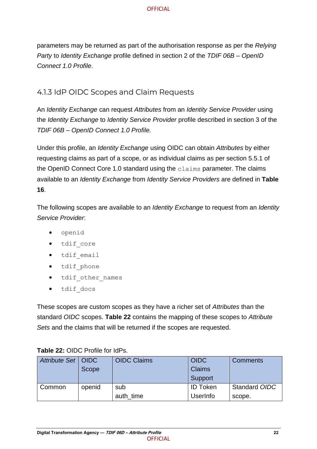parameters may be returned as part of the authorisation response as per the *Relying Party* to *Identity Exchange* profile defined in section 2 of the *TDIF 06B – OpenID Connect 1.0 Profile*.

### <span id="page-28-0"></span>4.1.3 IdP OIDC Scopes and Claim Requests

An *Identity Exchange* can request *Attributes* from an *Identity Service Provider* using the *Identity Exchange* to *Identity Service Provider* profile described in section 3 of the *TDIF 06B – OpenID Connect 1.0 Profile.*

Under this profile, an *Identity Exchange* using OIDC can obtain *Attributes* by either requesting claims as part of a scope, or as individual claims as per section 5.5.1 of the OpenID Connect Core 1.0 standard using the claims parameter. The claims available to an *Identity Exchange* from *Identity Service Providers* are defined in **[Table](#page-22-0)  [16](#page-22-0)**.

The following scopes are available to an *Identity Exchange* to request from an *Identity Service Provider*:

- openid
- tdif core
- tdif\_email
- tdif\_phone
- tdif other names
- tdif docs

These scopes are custom scopes as they have a richer set of *Attributes* than the standard *OIDC* scopes. **[Table 22](#page-28-1)** contains the mapping of these scopes to *Attribute Sets* and the claims that will be returned if the scopes are requested.

| Attribute Set   OIDC | Scope  | <b>OIDC Claims</b> | <b>OIDC</b><br><b>Claims</b><br>Support | <b>Comments</b>         |
|----------------------|--------|--------------------|-----------------------------------------|-------------------------|
| Common               | openid | sub<br>auth time   | <b>ID Token</b><br>UserInfo             | Standard OIDC<br>scope. |

#### <span id="page-28-1"></span>**Table 22:** OIDC Profile for IdPs.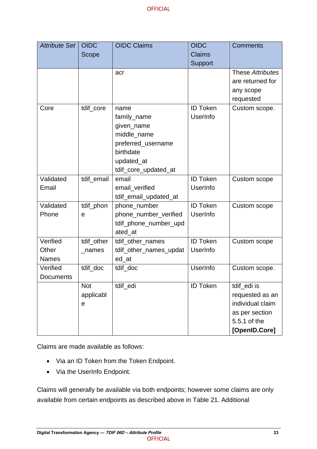| <b>Attribute Set</b> | <b>OIDC</b> | <b>OIDC Claims</b>     | <b>OIDC</b>     | <b>Comments</b>  |
|----------------------|-------------|------------------------|-----------------|------------------|
|                      | Scope       |                        | <b>Claims</b>   |                  |
|                      |             |                        | <b>Support</b>  |                  |
|                      |             | acr                    |                 | These Attributes |
|                      |             |                        |                 | are returned for |
|                      |             |                        |                 | any scope        |
|                      |             |                        |                 | requested        |
| Core                 | tdif_core   | name                   | <b>ID Token</b> | Custom scope.    |
|                      |             | family_name            | UserInfo        |                  |
|                      |             | given_name             |                 |                  |
|                      |             | middle_name            |                 |                  |
|                      |             | preferred_username     |                 |                  |
|                      |             | birthdate              |                 |                  |
|                      |             | updated_at             |                 |                  |
|                      |             | tdif_core_updated_at   |                 |                  |
| Validated            | tdif_email  | email                  | <b>ID Token</b> | Custom scope     |
| Email                |             | email_verified         | UserInfo        |                  |
|                      |             | tdif_email_updated_at  |                 |                  |
| Validated            | tdif_phon   | phone_number           | <b>ID Token</b> | Custom scope     |
| Phone                | e           | phone_number_verified  | UserInfo        |                  |
|                      |             | tdif_phone_number_upd  |                 |                  |
|                      |             | ated_at                |                 |                  |
| Verified             | tdif_other  | tdif_other_names       | <b>ID Token</b> | Custom scope     |
| Other                | $\_names$   | tdif_other_names_updat | UserInfo        |                  |
| <b>Names</b>         |             | ed_at                  |                 |                  |
| Verified             | tdif_doc    | tdif_doc               | UserInfo        | Custom scope.    |
| <b>Documents</b>     |             |                        |                 |                  |
|                      | <b>Not</b>  | tdif_edi               | <b>ID Token</b> | tdif_edi is      |
|                      | applicabl   |                        |                 | requested as an  |
|                      | e           |                        |                 | individual claim |
|                      |             |                        |                 | as per section   |
|                      |             |                        |                 | 5.5.1 of the     |
|                      |             |                        |                 | [OpenID.Core]    |

Claims are made available as follows:

- Via an ID Token from the Token Endpoint.
- Via the UserInfo Endpoint.

Claims will generally be available via both endpoints; however some claims are only available from certain endpoints as described above in [Table 21.](#page-27-0) Additional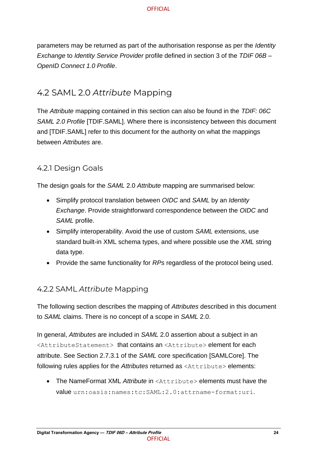parameters may be returned as part of the authorisation response as per the *Identity Exchange* to *Identity Service Provider* profile defined in section 3 of the *TDIF 06B – OpenID Connect 1.0 Profile*.

## <span id="page-30-0"></span>4.2 SAML 2.0 *Attribute* Mapping

The *Attribute* mapping contained in this section can also be found in the *TDIF: 06C SAML 2.0 Profile* [TDIF.SAML]. Where there is inconsistency between this document and [TDIF.SAML] refer to this document for the authority on what the mappings between *Attributes* are.

### <span id="page-30-1"></span>4.2.1 Design Goals

The design goals for the *SAML* 2.0 *Attribute* mapping are summarised below:

- Simplify protocol translation between *OIDC* and *SAML* by an *Identity Exchange*. Provide straightforward correspondence between the *OIDC* and *SAML* profile.
- Simplify interoperability. Avoid the use of custom *SAML* extensions, use standard built-in XML schema types, and where possible use the *XML* string data type.
- Provide the same functionality for *RPs* regardless of the protocol being used.

### <span id="page-30-2"></span>4.2.2 SAML *Attribute* Mapping

The following section describes the mapping of *Attributes* described in this document to *SAML* claims. There is no concept of a scope in *SAML* 2.0.

In general, *Attributes* are included in *SAML* 2.0 assertion about a subject in an <AttributeStatement> that contains an <Attribute> element for each attribute. See Section 2.7.3.1 of the *SAML* core specification [SAMLCore]. The following rules applies for the *Attributes* returned as <Attribute> elements:

• The NameFormat XML *Attribute* in <Attribute> elements must have the value urn:oasis:names:tc:SAML:2.0:attrname-format:uri.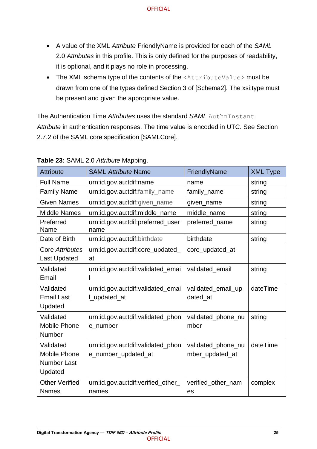- A value of the XML *Attribute* FriendlyName is provided for each of the *SAML* 2.0 *Attributes* in this profile. This is only defined for the purposes of readability, it is optional, and it plays no role in processing.
- The XML schema type of the contents of the <AttributeValue> must be drawn from one of the types defined Section 3 of [Schema2]. The xsi:type must be present and given the appropriate value.

The Authentication Time *Attributes* uses the standard *SAML* AuthnInstant Attribute in authentication responses. The time value is encoded in UTC. See Section 2.7.2 of the SAML core specification [SAMLCore].

| <b>Attribute</b>       | <b>SAML Attribute Name</b>                | FriendlyName       | <b>XML Type</b> |
|------------------------|-------------------------------------------|--------------------|-----------------|
| <b>Full Name</b>       | urn:id.gov.au:tdif:name                   | name               | string          |
| <b>Family Name</b>     | urn:id.gov.au:tdif:family_name            | family_name        | string          |
| <b>Given Names</b>     | urn:id.gov.au:tdif:given_name             | given_name         | string          |
| <b>Middle Names</b>    | urn:id.gov.au:tdif:middle_name            | middle_name        | string          |
| Preferred<br>Name      | urn:id.gov.au:tdif:preferred_user<br>name | preferred_name     | string          |
| Date of Birth          | urn:id.gov.au:tdif:birthdate              | birthdate          | string          |
| <b>Core Attributes</b> | urn:id.gov.au:tdif:core_updated_          | core_updated_at    |                 |
| <b>Last Updated</b>    | at                                        |                    |                 |
| Validated              | urn:id.gov.au:tdif:validated_emai         | validated_email    | string          |
| Email                  | I                                         |                    |                 |
| Validated              | urn:id.gov.au:tdif:validated_emai         | validated_email_up | dateTime        |
| <b>Email Last</b>      | Lupdated_at                               | dated at           |                 |
| Updated                |                                           |                    |                 |
| Validated              | urn:id.gov.au:tdif:validated_phon         | validated_phone_nu | string          |
| <b>Mobile Phone</b>    | e number                                  | mber               |                 |
| Number                 |                                           |                    |                 |
| Validated              | urn:id.gov.au:tdif:validated_phon         | validated_phone_nu | dateTime        |
| <b>Mobile Phone</b>    | e_number_updated_at                       | mber_updated_at    |                 |
| <b>Number Last</b>     |                                           |                    |                 |
| Updated                |                                           |                    |                 |
| <b>Other Verified</b>  | urn:id.gov.au:tdif:verified_other_        | verified_other_nam | complex         |
| <b>Names</b>           | names                                     | es                 |                 |

#### <span id="page-31-0"></span>**Table 23:** SAML 2.0 *Attribute* Mapping.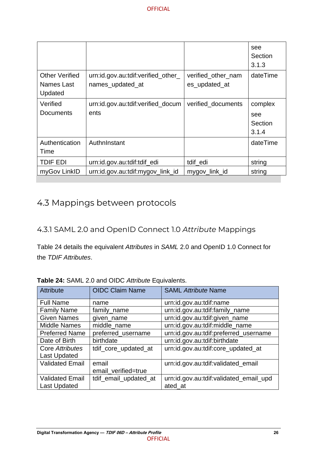|                                                |                                                        |                                     | see<br>Section<br>3.1.3            |
|------------------------------------------------|--------------------------------------------------------|-------------------------------------|------------------------------------|
| <b>Other Verified</b><br>Names Last<br>Updated | urn:id.gov.au:tdif:verified_other_<br>names_updated_at | verified_other_nam<br>es_updated_at | dateTime                           |
| Verified<br><b>Documents</b>                   | urn:id.gov.au:tdif:verified_docum<br>ents              | verified_documents                  | complex<br>see<br>Section<br>3.1.4 |
| Authentication<br>Time                         | AuthnInstant                                           |                                     | dateTime                           |
| <b>TDIF EDI</b>                                | urn:id.gov.au:tdif:tdif_edi                            | tdif_edi                            | string                             |
| myGov LinkID                                   | urn:id.gov.au:tdif:mygov_link_id                       | mygov_link_id                       | string                             |

## <span id="page-32-0"></span>4.3 Mappings between protocols

### <span id="page-32-1"></span>4.3.1 SAML 2.0 and OpenID Connect 1.0 *Attribute* Mappings

[Table 24](#page-32-2) details the equivalent *Attributes* in *SAML* 2.0 and OpenID 1.0 Connect for the *TDIF Attributes*.

| <b>Attribute</b>       | <b>OIDC Claim Name</b> | <b>SAML Attribute Name</b>             |
|------------------------|------------------------|----------------------------------------|
| <b>Full Name</b>       | name                   | urn:id.gov.au:tdif:name                |
| <b>Family Name</b>     | family_name            | urn:id.gov.au:tdif:family_name         |
| <b>Given Names</b>     | given_name             | urn:id.gov.au:tdif:given_name          |
| <b>Middle Names</b>    | middle name            | urn:id.gov.au:tdif:middle_name         |
| <b>Preferred Name</b>  | preferred_username     | urn:id.gov.au:tdif:preferred_username  |
| Date of Birth          | birthdate              | urn:id.gov.au:tdif:birthdate           |
| Core Attributes        | tdif_core_updated_at   | urn:id.gov.au:tdif:core_updated_at     |
| <b>Last Updated</b>    |                        |                                        |
| <b>Validated Email</b> | email                  | urn:id.gov.au:tdif:validated_email     |
|                        | email_verified=true    |                                        |
| <b>Validated Email</b> | tdif_email_updated_at  | urn:id.gov.au:tdif:validated_email_upd |
| <b>Last Updated</b>    |                        | ated at                                |

<span id="page-32-2"></span>**Table 24:** SAML 2.0 and OIDC *Attribute* Equivalents.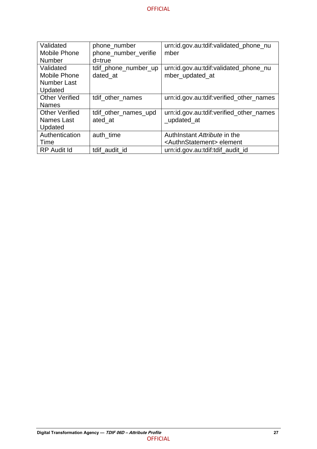| Validated             | phone_number         | urn:id.gov.au:tdif:validated_phone_nu     |
|-----------------------|----------------------|-------------------------------------------|
| Mobile Phone          | phone_number_verifie | mber                                      |
| <b>Number</b>         | d=true               |                                           |
| Validated             | tdif_phone_number_up | urn:id.gov.au:tdif:validated_phone_nu     |
| Mobile Phone          | dated at             | mber_updated_at                           |
| Number Last           |                      |                                           |
| Updated               |                      |                                           |
| <b>Other Verified</b> | tdif_other_names     | urn:id.gov.au:tdif:verified_other_names   |
| <b>Names</b>          |                      |                                           |
| <b>Other Verified</b> | tdif_other_names_upd | urn:id.gov.au:tdif:verified_other_names   |
| Names Last            | ated at              | _updated_at                               |
| Updated               |                      |                                           |
| Authentication        | auth time            | AuthInstant Attribute in the              |
| Time                  |                      | <authnstatement> element</authnstatement> |
| <b>RP</b> Audit Id    | tdif audit id        | urn:id.gov.au:tdif:tdif audit id          |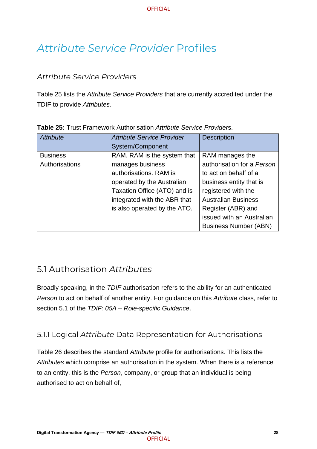## <span id="page-34-0"></span>*Attribute Service Provider* Profiles

### <span id="page-34-1"></span>*Attribute Service Provider*s

[Table 25](#page-34-4) lists the *Attribute Service Providers* that are currently accredited under the TDIF to provide *Attributes*.

| Attribute       | <b>Attribute Service Provider</b> | <b>Description</b>           |
|-----------------|-----------------------------------|------------------------------|
|                 | System/Component                  |                              |
| <b>Business</b> | RAM. RAM is the system that       | RAM manages the              |
| Authorisations  | manages business                  | authorisation for a Person   |
|                 | authorisations. RAM is            | to act on behalf of a        |
|                 | operated by the Australian        | business entity that is      |
|                 | Taxation Office (ATO) and is      | registered with the          |
|                 | integrated with the ABR that      | <b>Australian Business</b>   |
|                 | is also operated by the ATO.      | Register (ABR) and           |
|                 |                                   | issued with an Australian    |
|                 |                                   | <b>Business Number (ABN)</b> |

<span id="page-34-4"></span>**Table 25:** Trust Framework Authorisation *Attribute Service Provider*s.

## <span id="page-34-2"></span>5.1 Authorisation *Attributes*

Broadly speaking, in the *TDIF* authorisation refers to the ability for an authenticated *Person* to act on behalf of another entity. For guidance on this *Attribute* class, refer to section 5.1 of the *TDIF: 05A – Role-specific Guidance*.

## <span id="page-34-3"></span>5.1.1 Logical *Attribute* Data Representation for Authorisations

[Table 26](#page-35-0) describes the standard *Attribute* profile for authorisations. This lists the *Attributes* which comprise an authorisation in the system. When there is a reference to an entity, this is the *Person*, company, or group that an individual is being authorised to act on behalf of,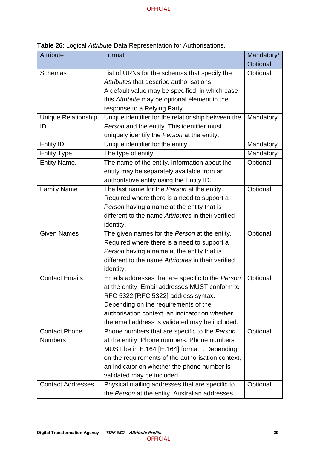| Attribute                  | Format                                             | Mandatory/ |
|----------------------------|----------------------------------------------------|------------|
|                            |                                                    | Optional   |
| <b>Schemas</b>             | List of URNs for the schemas that specify the      | Optional   |
|                            | Attributes that describe authorisations.           |            |
|                            | A default value may be specified, in which case    |            |
|                            | this Attribute may be optional element in the      |            |
|                            | response to a Relying Party.                       |            |
| <b>Unique Relationship</b> | Unique identifier for the relationship between the | Mandatory  |
| ID                         | Person and the entity. This identifier must        |            |
|                            | uniquely identify the Person at the entity.        |            |
| <b>Entity ID</b>           | Unique identifier for the entity                   | Mandatory  |
| <b>Entity Type</b>         | The type of entity.                                | Mandatory  |
| <b>Entity Name.</b>        | The name of the entity. Information about the      | Optional.  |
|                            | entity may be separately available from an         |            |
|                            | authoritative entity using the Entity ID.          |            |
| <b>Family Name</b>         | The last name for the Person at the entity.        | Optional   |
|                            | Required where there is a need to support a        |            |
|                            | Person having a name at the entity that is         |            |
|                            | different to the name Attributes in their verified |            |
|                            | identity.                                          |            |
| <b>Given Names</b>         | The given names for the Person at the entity.      | Optional   |
|                            | Required where there is a need to support a        |            |
|                            | Person having a name at the entity that is         |            |
|                            | different to the name Attributes in their verified |            |
|                            | identity.                                          |            |
| <b>Contact Emails</b>      | Emails addresses that are specific to the Person   | Optional   |
|                            | at the entity. Email addresses MUST conform to     |            |
|                            | RFC 5322 [RFC 5322] address syntax.                |            |
|                            | Depending on the requirements of the               |            |
|                            | authorisation context, an indicator on whether     |            |
|                            | the email address is validated may be included.    |            |
| <b>Contact Phone</b>       | Phone numbers that are specific to the Person      | Optional   |
| <b>Numbers</b>             | at the entity. Phone numbers. Phone numbers        |            |
|                            | MUST be in E.164 [E.164] format. . Depending       |            |
|                            | on the requirements of the authorisation context,  |            |
|                            | an indicator on whether the phone number is        |            |
|                            | validated may be included                          |            |
| <b>Contact Addresses</b>   | Physical mailing addresses that are specific to    | Optional   |
|                            | the Person at the entity. Australian addresses     |            |

<span id="page-35-0"></span>**Table 26**: Logical *Attribute* Data Representation for Authorisations.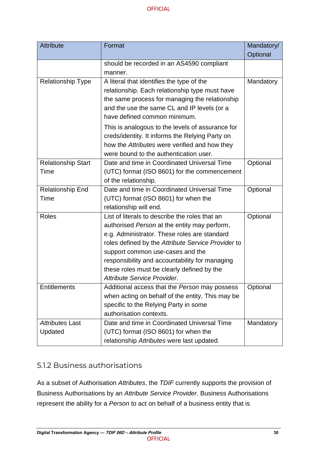| <b>Attribute</b>          | Format                                             | Mandatory/ |
|---------------------------|----------------------------------------------------|------------|
|                           |                                                    | Optional   |
|                           | should be recorded in an AS4590 compliant          |            |
|                           | manner.                                            |            |
| <b>Relationship Type</b>  | A literal that identifies the type of the          | Mandatory  |
|                           | relationship. Each relationship type must have     |            |
|                           | the same process for managing the relationship     |            |
|                           | and the use the same CL and IP levels (or a        |            |
|                           | have defined common minimum.                       |            |
|                           | This is analogous to the levels of assurance for   |            |
|                           | creds/identity. It informs the Relying Party on    |            |
|                           | how the Attributes were verified and how they      |            |
|                           | were bound to the authentication user.             |            |
| <b>Relationship Start</b> | Date and time in Coordinated Universal Time        | Optional   |
| Time                      | (UTC) format (ISO 8601) for the commencement       |            |
|                           | of the relationship.                               |            |
| <b>Relationship End</b>   | Date and time in Coordinated Universal Time        | Optional   |
| Time                      | (UTC) format (ISO 8601) for when the               |            |
|                           | relationship will end.                             |            |
| <b>Roles</b>              | List of literals to describe the roles that an     | Optional   |
|                           | authorised Person at the entity may perform,       |            |
|                           | e.g. Administrator. These roles are standard       |            |
|                           | roles defined by the Attribute Service Provider to |            |
|                           | support common use-cases and the                   |            |
|                           | responsibility and accountability for managing     |            |
|                           | these roles must be clearly defined by the         |            |
|                           | Attribute Service Provider.                        |            |
| <b>Entitlements</b>       | Additional access that the Person may possess      | Optional   |
|                           | when acting on behalf of the entity. This may be   |            |
|                           | specific to the Relying Party in some              |            |
|                           | authorisation contexts.                            |            |
| Attributes Last           | Date and time in Coordinated Universal Time        | Mandatory  |
| Updated                   | (UTC) format (ISO 8601) for when the               |            |
|                           | relationship Attributes were last updated.         |            |

### <span id="page-36-0"></span>5.1.2 Business authorisations

As a subset of Authorisation *Attributes*, the *TDIF* currently supports the provision of Business Authorisations by an *Attribute Service Provider*. Business Authorisations represent the ability for a *Person* to act on behalf of a business entity that is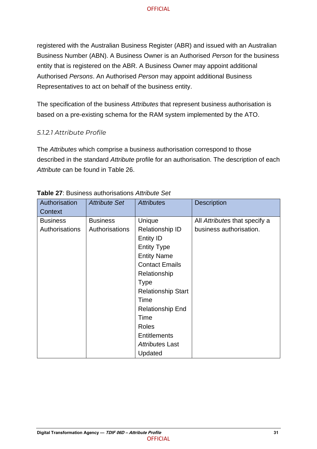registered with the Australian Business Register (ABR) and issued with an Australian Business Number (ABN). A Business Owner is an Authorised *Person* for the business entity that is registered on the ABR. A Business Owner may appoint additional Authorised *Persons*. An Authorised *Person* may appoint additional Business Representatives to act on behalf of the business entity.

The specification of the business *Attributes* that represent business authorisation is based on a pre-existing schema for the RAM system implemented by the ATO.

#### *5.1.2.1 Attribute Profile*

The *Attributes* which comprise a business authorisation correspond to those described in the standard *Attribute* profile for an authorisation. The description of each *Attribute* can be found in [Table 26.](#page-35-0)

| Authorisation<br>Context | Attribute Set   | <b>Attributes</b>         | <b>Description</b>            |
|--------------------------|-----------------|---------------------------|-------------------------------|
| <b>Business</b>          | <b>Business</b> | Unique                    | All Attributes that specify a |
| Authorisations           | Authorisations  | Relationship ID           | business authorisation.       |
|                          |                 | <b>Entity ID</b>          |                               |
|                          |                 | <b>Entity Type</b>        |                               |
|                          |                 | <b>Entity Name</b>        |                               |
|                          |                 | <b>Contact Emails</b>     |                               |
|                          |                 | Relationship              |                               |
|                          |                 | <b>Type</b>               |                               |
|                          |                 | <b>Relationship Start</b> |                               |
|                          |                 | Time                      |                               |
|                          |                 | <b>Relationship End</b>   |                               |
|                          |                 | Time                      |                               |
|                          |                 | Roles                     |                               |
|                          |                 | <b>Entitlements</b>       |                               |
|                          |                 | Attributes Last           |                               |
|                          |                 | Updated                   |                               |

#### <span id="page-37-0"></span>**Table 27**: Business authorisations *Attribute Set*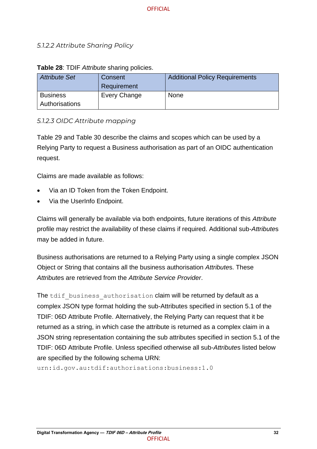#### <span id="page-38-0"></span>*5.1.2.2 Attribute Sharing Policy*

| Attribute Set                     | Consent<br>Requirement | <b>Additional Policy Requirements</b> |
|-----------------------------------|------------------------|---------------------------------------|
| <b>Business</b><br>Authorisations | Every Change           | <b>None</b>                           |

#### **Table 28**: TDIF *Attribute* sharing policies.

#### *5.1.2.3 OIDC Attribute mapping*

[Table 29](#page-39-0) and [Table 30](#page-39-1) describe the claims and scopes which can be used by a Relying Party to request a Business authorisation as part of an OIDC authentication request.

Claims are made available as follows:

- Via an ID Token from the Token Endpoint.
- Via the UserInfo Endpoint.

Claims will generally be available via both endpoints, future iterations of this *Attribute* profile may restrict the availability of these claims if required. Additional sub-*Attribute*s may be added in future.

Business authorisations are returned to a Relying Party using a single complex JSON Object or String that contains all the business authorisation *Attribute*s. These *Attribute*s are retrieved from the *Attribute Service Provider*.

The tdif business authorisation claim will be returned by default as a complex JSON type format holding the sub-Attributes specified in section 5.1 of the TDIF: 06D Attribute Profile. Alternatively, the Relying Party can request that it be returned as a string, in which case the attribute is returned as a complex claim in a JSON string representation containing the sub attributes specified in section 5.1 of the TDIF: 06D Attribute Profile. Unless specified otherwise all sub-*Attribute*s listed below are specified by the following schema URN:

urn:id.gov.au:tdif:authorisations:business:1.0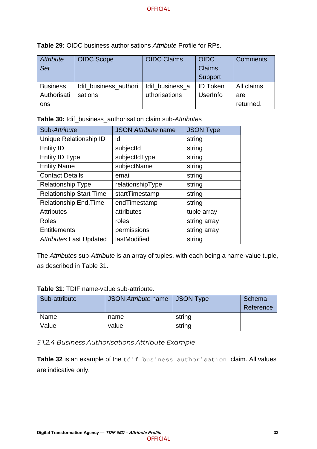| Attribute<br>Set | <b>OIDC Scope</b>     | <b>OIDC Claims</b> | <b>OIDC</b><br><b>Claims</b> | <b>Comments</b> |
|------------------|-----------------------|--------------------|------------------------------|-----------------|
|                  |                       |                    | Support                      |                 |
| <b>Business</b>  | tdif business authori | tdif_business_a    | <b>ID Token</b>              | All claims      |
| Authorisati      | sations               | uthorisations      | <b>UserInfo</b>              | are             |
| ons              |                       |                    |                              | returned.       |

<span id="page-39-0"></span>**Table 29:** OIDC business authorisations *Attribute* Profile for RPs.

<span id="page-39-1"></span>

| <b>Table 30:</b> tdif_business_authorisation claim sub-Attributes |  |
|-------------------------------------------------------------------|--|
|-------------------------------------------------------------------|--|

| Sub-Attribute                  | <b>JSON Attribute name</b> | <b>JSON Type</b> |
|--------------------------------|----------------------------|------------------|
| Unique Relationship ID         | id                         | string           |
| <b>Entity ID</b>               | subjectId                  | string           |
| Entity ID Type                 | subjectIdType              | string           |
| <b>Entity Name</b>             | subjectName                | string           |
| <b>Contact Details</b>         | email                      | string           |
| <b>Relationship Type</b>       | relationshipType           | string           |
| <b>Relationship Start Time</b> | startTimestamp             | string           |
| <b>Relationship End. Time</b>  | endTimestamp               | string           |
| <b>Attributes</b>              | attributes                 | tuple array      |
| Roles                          | roles                      | string array     |
| <b>Entitlements</b>            | permissions                | string array     |
| <b>Attributes Last Updated</b> | lastModified               | string           |

The *Attributes* sub-*Attribute* is an array of tuples, with each being a name-value tuple, as described in [Table 31.](#page-39-2)

<span id="page-39-2"></span>

| Table 31: TDIF name-value sub-attribute. |
|------------------------------------------|
|                                          |

| Sub-attribute | JSON Attribute name | <b>JSON Type</b> | Schema    |
|---------------|---------------------|------------------|-----------|
|               |                     |                  | Reference |
| Name          | name                | string           |           |
| Value         | value               | string           |           |

*5.1.2.4 Business Authorisations Attribute Example*

[Table 32](#page-40-0) is an example of the tdif business authorisation claim. All values are indicative only.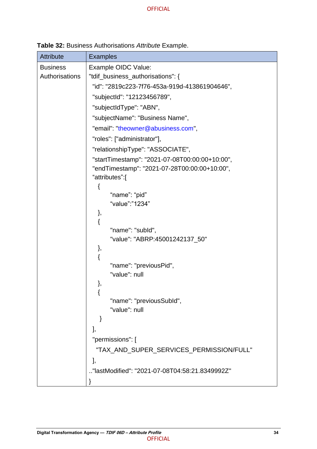<span id="page-40-0"></span>**Table 32:** Business Authorisations *Attribute* Example.

| <b>Attribute</b> | <b>Examples</b>                                 |  |  |
|------------------|-------------------------------------------------|--|--|
| <b>Business</b>  | Example OIDC Value:                             |  |  |
| Authorisations   | "tdif_business_authorisations": {               |  |  |
|                  | "id": "2819c223-7f76-453a-919d-413861904646",   |  |  |
|                  | "subjectId": "12123456789",                     |  |  |
|                  | "subjectIdType": "ABN",                         |  |  |
|                  | "subjectName": "Business Name",                 |  |  |
|                  | "email": "theowner@abusiness.com",              |  |  |
|                  | "roles": ["administrator"],                     |  |  |
|                  | "relationshipType": "ASSOCIATE",                |  |  |
|                  | "startTimestamp": "2021-07-08T00:00:00+10:00",  |  |  |
|                  | "endTimestamp": "2021-07-28T00:00:00+10:00",    |  |  |
|                  | "attributes":[                                  |  |  |
|                  | {                                               |  |  |
|                  | "name": "pid"                                   |  |  |
|                  | "value":"1234"                                  |  |  |
|                  | },<br>{                                         |  |  |
|                  | "name": "subld",                                |  |  |
|                  | "value": "ABRP:45001242137_50"                  |  |  |
|                  | },                                              |  |  |
|                  | {                                               |  |  |
|                  | "name": "previousPid",                          |  |  |
|                  | "value": null                                   |  |  |
|                  | },                                              |  |  |
|                  | ₹<br>"name": "previousSubld",                   |  |  |
|                  | "value": null                                   |  |  |
|                  | }                                               |  |  |
|                  | ],                                              |  |  |
|                  | "permissions": [                                |  |  |
|                  | "TAX_AND_SUPER_SERVICES_PERMISSION/FULL"        |  |  |
|                  | J,                                              |  |  |
|                  | "lastModified": "2021-07-08T04:58:21.8349992Z". |  |  |
|                  |                                                 |  |  |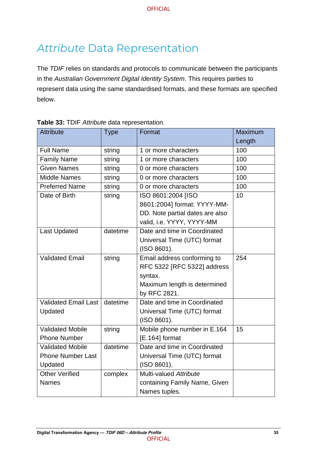## <span id="page-41-0"></span>*Attribute* Data Representation

The *TDIF* relies on standards and protocols to communicate between the participants in the *Australian Government Digital Identity System*. This requires parties to represent data using the same standardised formats, and these formats are specified below.

| <b>Attribute</b>         | <b>Type</b> | Format                          | Maximum |
|--------------------------|-------------|---------------------------------|---------|
|                          |             |                                 | Length  |
| <b>Full Name</b>         | string      | 1 or more characters            | 100     |
| <b>Family Name</b>       | string      | 1 or more characters            | 100     |
| <b>Given Names</b>       | string      | 0 or more characters            | 100     |
| <b>Middle Names</b>      | string      | 0 or more characters            | 100     |
| <b>Preferred Name</b>    | string      | 0 or more characters            | 100     |
| Date of Birth            | string      | ISO 8601:2004 [ISO              | 10      |
|                          |             | 8601:2004] format: YYYY-MM-     |         |
|                          |             | DD. Note partial dates are also |         |
|                          |             | valid, i.e. YYYY, YYYY-MM       |         |
| <b>Last Updated</b>      | datetime    | Date and time in Coordinated    |         |
|                          |             | Universal Time (UTC) format     |         |
|                          |             | (ISO 8601).                     |         |
| <b>Validated Email</b>   | string      | Email address conforming to     | 254     |
|                          |             | RFC 5322 [RFC 5322] address     |         |
|                          |             | syntax.                         |         |
|                          |             | Maximum length is determined    |         |
|                          |             | by RFC 2821.                    |         |
| Validated Email Last     | datetime    | Date and time in Coordinated    |         |
| Updated                  |             | Universal Time (UTC) format     |         |
|                          |             | (ISO 8601).                     |         |
| <b>Validated Mobile</b>  | string      | Mobile phone number in E.164    | 15      |
| <b>Phone Number</b>      |             | $[E.164]$ format                |         |
| <b>Validated Mobile</b>  | datetime    | Date and time in Coordinated    |         |
| <b>Phone Number Last</b> |             | Universal Time (UTC) format     |         |
| Updated                  |             | (ISO 8601).                     |         |
| <b>Other Verified</b>    | complex     | Multi-valued Attribute          |         |
| <b>Names</b>             |             | containing Family Name, Given   |         |
|                          |             | Names tuples.                   |         |

<span id="page-41-1"></span>

|  |  |  |  | Table 33: TDIF Attribute data representation. |
|--|--|--|--|-----------------------------------------------|
|--|--|--|--|-----------------------------------------------|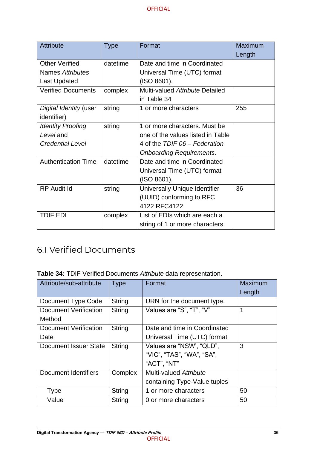| Attribute                  | <b>Type</b> | Format                            | <b>Maximum</b> |
|----------------------------|-------------|-----------------------------------|----------------|
|                            |             |                                   | Length         |
| <b>Other Verified</b>      | datetime    | Date and time in Coordinated      |                |
| Names Attributes           |             | Universal Time (UTC) format       |                |
| <b>Last Updated</b>        |             | (ISO 8601).                       |                |
| <b>Verified Documents</b>  | complex     | Multi-valued Attribute Detailed   |                |
|                            |             | in Table 34                       |                |
| Digital Identity (user     | string      | 1 or more characters              | 255            |
| <i>identifier</i> )        |             |                                   |                |
| <b>Identity Proofing</b>   | string      | 1 or more characters. Must be     |                |
| Level and                  |             | one of the values listed in Table |                |
| <b>Credential Level</b>    |             | 4 of the TDIF 06 - Federation     |                |
|                            |             | <b>Onboarding Requirements.</b>   |                |
| <b>Authentication Time</b> | datetime    | Date and time in Coordinated      |                |
|                            |             | Universal Time (UTC) format       |                |
|                            |             | (ISO 8601).                       |                |
| <b>RP</b> Audit Id         | string      | Universally Unique Identifier     | 36             |
|                            |             | (UUID) conforming to RFC          |                |
|                            |             | 4122 RFC4122                      |                |
| <b>TDIF EDI</b>            | complex     | List of EDIs which are each a     |                |
|                            |             | string of 1 or more characters.   |                |

## <span id="page-42-0"></span>6.1 Verified Documents

<span id="page-42-1"></span>

|  | Table 34: TDIF Verified Documents Attribute data representation. |  |  |
|--|------------------------------------------------------------------|--|--|
|--|------------------------------------------------------------------|--|--|

| Attribute/sub-attribute | <b>Type</b>   | Format                       | <b>Maximum</b> |
|-------------------------|---------------|------------------------------|----------------|
|                         |               |                              | Length         |
| Document Type Code      | <b>String</b> | URN for the document type.   |                |
| Document Verification   | <b>String</b> | Values are "S", "T", "V"     | 1              |
| Method                  |               |                              |                |
| Document Verification   | String        | Date and time in Coordinated |                |
| Date                    |               | Universal Time (UTC) format  |                |
| Document Issuer State   | <b>String</b> | Values are "NSW", "QLD",     | 3              |
|                         |               | "VIC", "TAS", "WA", "SA",    |                |
|                         |               | "ACT", "NT"                  |                |
| Document Identifiers    | Complex       | Multi-valued Attribute       |                |
|                         |               | containing Type-Value tuples |                |
| Type                    | String        | 1 or more characters         | 50             |
| Value                   | String        | 0 or more characters         | 50             |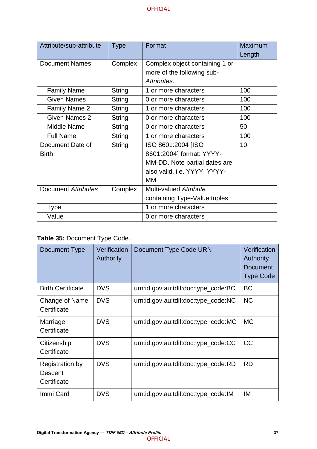| Attribute/sub-attribute    | <b>Type</b>   | Format                         | Maximum |
|----------------------------|---------------|--------------------------------|---------|
|                            |               |                                | Length  |
| <b>Document Names</b>      | Complex       | Complex object containing 1 or |         |
|                            |               | more of the following sub-     |         |
|                            |               | Attributes.                    |         |
| <b>Family Name</b>         | String        | 1 or more characters           | 100     |
| <b>Given Names</b>         | String        | 0 or more characters           | 100     |
| Family Name 2              | <b>String</b> | 1 or more characters           | 100     |
| Given Names 2              | <b>String</b> | 0 or more characters           | 100     |
| Middle Name                | String        | 0 or more characters           | 50      |
| <b>Full Name</b>           | <b>String</b> | 1 or more characters           | 100     |
| Document Date of           | <b>String</b> | ISO 8601:2004 [ISO             | 10      |
| <b>Birth</b>               |               | 8601:2004] format: YYYY-       |         |
|                            |               | MM-DD. Note partial dates are  |         |
|                            |               | also valid, i.e. YYYY, YYYY-   |         |
|                            |               | MM                             |         |
| <b>Document Attributes</b> | Complex       | Multi-valued Attribute         |         |
|                            |               | containing Type-Value tuples   |         |
| <b>Type</b>                |               | 1 or more characters           |         |
| Value                      |               | 0 or more characters           |         |

## <span id="page-43-0"></span>**Table 35:** Document Type Code.

| Document Type                                    | Verification<br><b>Authority</b> | Document Type Code URN              | Verification<br><b>Authority</b><br><b>Document</b><br><b>Type Code</b> |
|--------------------------------------------------|----------------------------------|-------------------------------------|-------------------------------------------------------------------------|
| <b>Birth Certificate</b>                         | <b>DVS</b>                       | urn:id.gov.au:tdif:doc:type_code:BC | <b>BC</b>                                                               |
| Change of Name<br>Certificate                    | <b>DVS</b>                       | urn:id.gov.au:tdif:doc:type_code:NC | <b>NC</b>                                                               |
| Marriage<br>Certificate                          | <b>DVS</b>                       | urn:id.gov.au:tdif:doc:type_code:MC | <b>MC</b>                                                               |
| Citizenship<br>Certificate                       | <b>DVS</b>                       | urn:id.gov.au:tdif:doc:type_code:CC | <b>CC</b>                                                               |
| <b>Registration by</b><br>Descent<br>Certificate | <b>DVS</b>                       | urn:id.gov.au:tdif:doc:type_code:RD | <b>RD</b>                                                               |
| Immi Card                                        | <b>DVS</b>                       | urn:id.gov.au:tdif:doc:type_code:IM | IM                                                                      |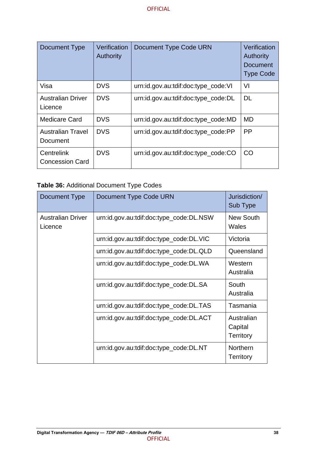| Document Type                        | Verification<br><b>Authority</b> | Document Type Code URN              | Verification<br><b>Authority</b><br>Document<br><b>Type Code</b> |
|--------------------------------------|----------------------------------|-------------------------------------|------------------------------------------------------------------|
| Visa                                 | <b>DVS</b>                       | urn:id.gov.au:tdif:doc:type_code:VI | VI                                                               |
| <b>Australian Driver</b><br>Licence  | <b>DVS</b>                       | urn:id.gov.au:tdif:doc:type_code:DL | <b>DL</b>                                                        |
| Medicare Card                        | <b>DVS</b>                       | urn:id.gov.au:tdif:doc:type_code:MD | <b>MD</b>                                                        |
| <b>Australian Travel</b><br>Document | <b>DVS</b>                       | urn:id.gov.au:tdif:doc:type_code:PP | <b>PP</b>                                                        |
| Centrelink<br><b>Concession Card</b> | <b>DVS</b>                       | urn:id.gov.au:tdif:doc:type_code:CO | <b>CO</b>                                                        |

<span id="page-44-0"></span>

|  |  | Table 36: Additional Document Type Codes |  |  |
|--|--|------------------------------------------|--|--|
|--|--|------------------------------------------|--|--|

| Document Type                       | Document Type Code URN                  | Jurisdiction/<br>Sub Type                 |
|-------------------------------------|-----------------------------------------|-------------------------------------------|
| <b>Australian Driver</b><br>Licence | urn:id.gov.au:tdif:doc:type_code:DL.NSW | <b>New South</b><br>Wales                 |
|                                     | urn:id.gov.au:tdif:doc:type_code:DL.VIC | Victoria                                  |
|                                     | urn:id.gov.au:tdif:doc:type_code:DL.QLD | Queensland                                |
|                                     | urn:id.gov.au:tdif:doc:type_code:DL.WA  | Western<br>Australia                      |
|                                     | urn:id.gov.au:tdif:doc:type_code:DL.SA  | South<br>Australia                        |
|                                     | urn:id.gov.au:tdif:doc:type_code:DL.TAS | Tasmania                                  |
|                                     | urn:id.gov.au:tdif:doc:type_code:DL.ACT | Australian<br>Capital<br><b>Territory</b> |
|                                     | urn:id.gov.au:tdif:doc:type_code:DL.NT  | <b>Northern</b><br><b>Territory</b>       |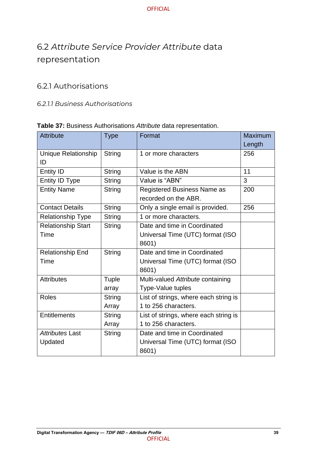## <span id="page-45-0"></span>6.2 *Attribute Service Provider Attribute* data representation

### <span id="page-45-1"></span>6.2.1 Authorisations

#### <span id="page-45-2"></span>*6.2.1.1 Business Authorisations*

#### **Table 37:** Business Authorisations *Attribute* data representation.

| <b>Attribute</b>           | <b>Type</b>   | Format                                | <b>Maximum</b> |
|----------------------------|---------------|---------------------------------------|----------------|
|                            |               |                                       | Length         |
| <b>Unique Relationship</b> | <b>String</b> | 1 or more characters                  | 256            |
| ID                         |               |                                       |                |
| <b>Entity ID</b>           | String        | Value is the ABN                      | 11             |
| Entity ID Type             | String        | Value is "ABN"                        | 3              |
| <b>Entity Name</b>         | String        | <b>Registered Business Name as</b>    | 200            |
|                            |               | recorded on the ABR.                  |                |
| <b>Contact Details</b>     | <b>String</b> | Only a single email is provided.      | 256            |
| <b>Relationship Type</b>   | String        | 1 or more characters.                 |                |
| <b>Relationship Start</b>  | String        | Date and time in Coordinated          |                |
| Time                       |               | Universal Time (UTC) format (ISO      |                |
|                            |               | 8601)                                 |                |
| <b>Relationship End</b>    | String        | Date and time in Coordinated          |                |
| Time                       |               | Universal Time (UTC) format (ISO      |                |
|                            |               | 8601)                                 |                |
| <b>Attributes</b>          | Tuple         | Multi-valued Attribute containing     |                |
|                            | array         | <b>Type-Value tuples</b>              |                |
| <b>Roles</b>               | String        | List of strings, where each string is |                |
|                            | Array         | 1 to 256 characters.                  |                |
| <b>Entitlements</b>        | String        | List of strings, where each string is |                |
|                            | Array         | 1 to 256 characters.                  |                |
| Attributes Last            | String        | Date and time in Coordinated          |                |
| Updated                    |               | Universal Time (UTC) format (ISO      |                |
|                            |               | 8601)                                 |                |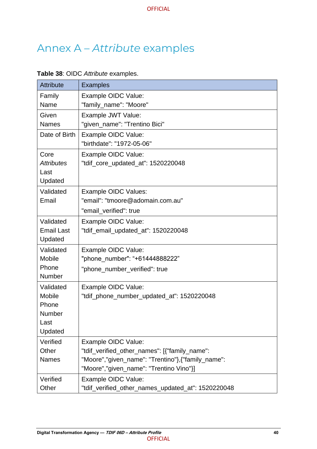## <span id="page-46-0"></span>Annex A – *Attribute* examples

#### <span id="page-46-1"></span>**Table 38**: OIDC *Attribute* examples.

| <b>Attribute</b>             | <b>Examples</b>                                                                               |
|------------------------------|-----------------------------------------------------------------------------------------------|
| Family                       | Example OIDC Value:                                                                           |
| Name                         | "family_name": "Moore"                                                                        |
| Given                        | Example JWT Value:                                                                            |
| <b>Names</b>                 | "given_name": "Trentino Bici"                                                                 |
| Date of Birth                | Example OIDC Value:                                                                           |
|                              | "birthdate": "1972-05-06"                                                                     |
| Core                         | Example OIDC Value:                                                                           |
| <b>Attributes</b>            | "tdif_core_updated_at": 1520220048                                                            |
| Last                         |                                                                                               |
| Updated                      |                                                                                               |
| Validated                    | <b>Example OIDC Values:</b>                                                                   |
| Email                        | "email": "tmoore@adomain.com.au"                                                              |
|                              | "email_verified": true                                                                        |
| Validated                    | Example OIDC Value:                                                                           |
| <b>Email Last</b><br>Updated | "tdif_email_updated_at": 1520220048                                                           |
| Validated                    |                                                                                               |
| <b>Mobile</b>                | Example OIDC Value:<br>"phone number": "+61444888222"                                         |
| Phone                        | "phone_number_verified": true                                                                 |
| Number                       |                                                                                               |
| Validated                    | Example OIDC Value:                                                                           |
| <b>Mobile</b>                | "tdif_phone_number_updated_at": 1520220048                                                    |
| Phone                        |                                                                                               |
| Number                       |                                                                                               |
| Last                         |                                                                                               |
| Updated                      |                                                                                               |
| Verified                     | Example OIDC Value:                                                                           |
| Other                        | "tdif_verified_other_names": [{"family_name":                                                 |
| <b>Names</b>                 | "Moore","given_name": "Trentino"}, {"family_name":<br>"Moore","given_name": "Trentino Vino"}] |
| Verified                     | Example OIDC Value:                                                                           |
| Other                        | "tdif_verified_other_names_updated_at": 1520220048                                            |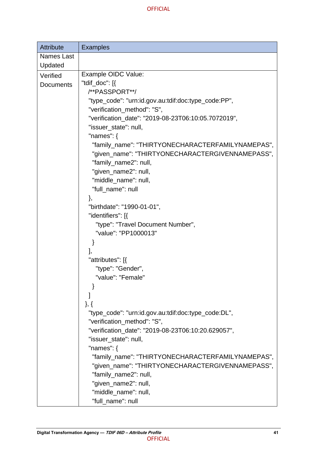| <b>Attribute</b>             | <b>Examples</b>                                     |
|------------------------------|-----------------------------------------------------|
| <b>Names Last</b><br>Updated |                                                     |
| Verified                     | Example OIDC Value:                                 |
| <b>Documents</b>             | "tdif_doc": [{                                      |
|                              | /**PASSPORT**/                                      |
|                              | "type_code": "urn:id.gov.au:tdif:doc:type_code:PP", |
|                              | "verification_method": "S",                         |
|                              | "verification_date": "2019-08-23T06:10:05.7072019", |
|                              | "issuer_state": null,                               |
|                              | "names": $\{$                                       |
|                              | "family_name": "THIRTYONECHARACTERFAMILYNAMEPAS",   |
|                              | "given_name": "THIRTYONECHARACTERGIVENNAMEPASS",    |
|                              | "family_name2": null,                               |
|                              | "given_name2": null,                                |
|                              | "middle_name": null,                                |
|                              | "full_name": null                                   |
|                              | },                                                  |
|                              | "birthdate": "1990-01-01",                          |
|                              | "identifiers": [{                                   |
|                              | "type": "Travel Document Number",                   |
|                              | "value": "PP1000013"                                |
|                              |                                                     |
|                              |                                                     |
|                              | ],<br>"attributes": [{                              |
|                              | "type": "Gender",                                   |
|                              | "value": "Female"                                   |
|                              |                                                     |
|                              |                                                     |
|                              |                                                     |
|                              | $\},\}$                                             |
|                              | "type_code": "urn:id.gov.au:tdif:doc:type_code:DL", |
|                              | "verification_method": "S",                         |
|                              | "verification_date": "2019-08-23T06:10:20.629057",  |
|                              | "issuer state": null,                               |
|                              | "names": $\{$                                       |
|                              | "family_name": "THIRTYONECHARACTERFAMILYNAMEPAS",   |
|                              | "given_name": "THIRTYONECHARACTERGIVENNAMEPASS",    |
|                              | "family_name2": null,                               |
|                              | "given_name2": null,                                |
|                              | "middle_name": null,                                |
|                              | "full_name": null                                   |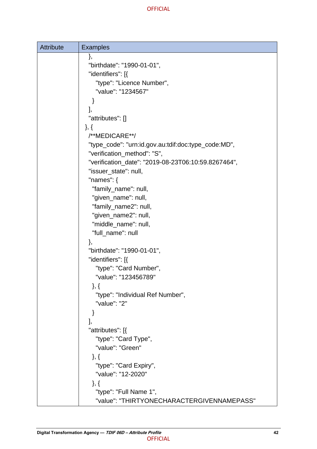| <b>Attribute</b> | <b>Examples</b>                                     |
|------------------|-----------------------------------------------------|
|                  | },                                                  |
|                  | "birthdate": "1990-01-01",                          |
|                  | "identifiers": [{                                   |
|                  | "type": "Licence Number",                           |
|                  | "value": "1234567"                                  |
|                  |                                                     |
|                  | J,                                                  |
|                  | "attributes": []                                    |
|                  | $\},\{$                                             |
|                  | /**MEDICARE**/                                      |
|                  | "type_code": "urn:id.gov.au:tdif:doc:type_code:MD", |
|                  | "verification_method": "S",                         |
|                  | "verification_date": "2019-08-23T06:10:59.8267464", |
|                  | "issuer_state": null,                               |
|                  | "names": $\{$                                       |
|                  | "family_name": null,                                |
|                  | "given_name": null,                                 |
|                  | "family_name2": null,                               |
|                  | "given_name2": null,                                |
|                  | "middle_name": null,                                |
|                  | "full_name": null                                   |
|                  | },                                                  |
|                  | "birthdate": "1990-01-01",                          |
|                  | "identifiers": [{                                   |
|                  | "type": "Card Number",                              |
|                  | "value": "123456789"                                |
|                  | $\},\}$<br>"type": "Individual Ref Number",         |
|                  | "value": "2"                                        |
|                  | }                                                   |
|                  | J,                                                  |
|                  | "attributes": [{                                    |
|                  | "type": "Card Type",                                |
|                  | "value": "Green"                                    |
|                  | $\},\{$                                             |
|                  | "type": "Card Expiry",                              |
|                  | "value": "12-2020"                                  |
|                  | $\},\{$                                             |
|                  | "type": "Full Name 1",                              |
|                  | "value": "THIRTYONECHARACTERGIVENNAMEPASS"          |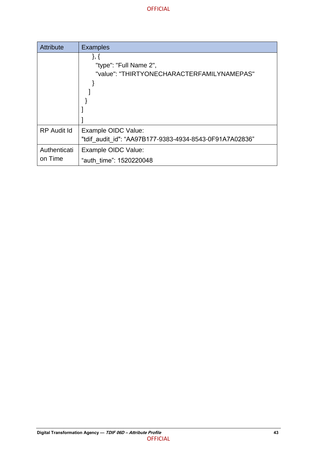| <b>Attribute</b>        | <b>Examples</b>                                                                |
|-------------------------|--------------------------------------------------------------------------------|
|                         | }, {<br>"type": "Full Name 2",<br>"value": "THIRTYONECHARACTERFAMILYNAMEPAS"   |
| <b>RP</b> Audit Id      | Example OIDC Value:<br>"tdif audit id": "AA97B177-9383-4934-8543-0F91A7A02836" |
| Authenticati<br>on Time | Example OIDC Value:                                                            |
|                         | "auth time": 1520220048                                                        |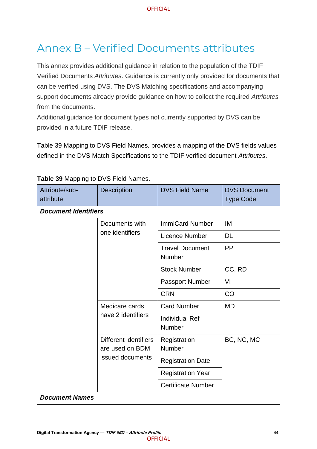## Annex B – Verified Documents attributes

This annex provides additional guidance in relation to the population of the TDIF Verified Documents *Attributes*. Guidance is currently only provided for documents that can be verified using DVS. The DVS Matching specifications and accompanying support documents already provide guidance on how to collect the required *Attributes* from the documents.

Additional guidance for document types not currently supported by DVS can be provided in a future TDIF release.

Table 39 [Mapping to DVS Field Names.](#page-50-0) provides a mapping of the DVS fields values defined in the DVS Match Specifications to the TDIF verified document *Attributes*.

| Attribute/sub-<br>attribute | Description                                                                                          | <b>DVS Field Name</b>            | <b>DVS Document</b><br><b>Type Code</b> |
|-----------------------------|------------------------------------------------------------------------------------------------------|----------------------------------|-----------------------------------------|
| <b>Document Identifiers</b> |                                                                                                      |                                  |                                         |
|                             | Documents with                                                                                       | <b>ImmiCard Number</b>           | IM                                      |
|                             | one identifiers                                                                                      | Licence Number                   | <b>DL</b>                               |
|                             |                                                                                                      | <b>Travel Document</b><br>Number | PP                                      |
|                             |                                                                                                      | <b>Stock Number</b>              | CC, RD                                  |
|                             |                                                                                                      | <b>Passport Number</b>           | VI                                      |
|                             | Medicare cards<br>have 2 identifiers<br>Different identifiers<br>are used on BDM<br>issued documents | <b>CRN</b>                       | CO                                      |
|                             |                                                                                                      | <b>Card Number</b>               | <b>MD</b>                               |
|                             |                                                                                                      | <b>Individual Ref</b><br>Number  |                                         |
|                             |                                                                                                      | Registration<br>Number           | BC, NC, MC                              |
|                             |                                                                                                      | <b>Registration Date</b>         |                                         |
|                             |                                                                                                      | <b>Registration Year</b>         |                                         |
|                             |                                                                                                      | <b>Certificate Number</b>        |                                         |
| <b>Document Names</b>       |                                                                                                      |                                  |                                         |

#### <span id="page-50-0"></span>**Table 39** Mapping to DVS Field Names.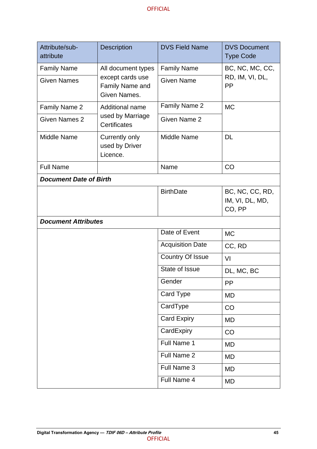| Attribute/sub-<br>attribute   | <b>Description</b>                                  | <b>DVS Field Name</b>   | <b>DVS Document</b><br><b>Type Code</b>         |
|-------------------------------|-----------------------------------------------------|-------------------------|-------------------------------------------------|
| <b>Family Name</b>            | All document types                                  | <b>Family Name</b>      | BC, NC, MC, CC,<br>RD, IM, VI, DL,<br><b>PP</b> |
| <b>Given Names</b>            | except cards use<br>Family Name and<br>Given Names. | <b>Given Name</b>       |                                                 |
| Family Name 2                 | Additional name                                     | Family Name 2           | <b>MC</b>                                       |
| Given Names 2                 | used by Marriage<br><b>Certificates</b>             | Given Name 2            |                                                 |
| <b>Middle Name</b>            | Currently only<br>used by Driver<br>Licence.        | <b>Middle Name</b>      | <b>DL</b>                                       |
| <b>Full Name</b>              |                                                     | Name                    | CO                                              |
| <b>Document Date of Birth</b> |                                                     |                         |                                                 |
|                               |                                                     | <b>BirthDate</b>        | BC, NC, CC, RD,<br>IM, VI, DL, MD,<br>CO, PP    |
| <b>Document Attributes</b>    |                                                     |                         |                                                 |
|                               |                                                     | Date of Event           | <b>MC</b>                                       |
|                               |                                                     | <b>Acquisition Date</b> | CC, RD                                          |
|                               |                                                     | <b>Country Of Issue</b> | VI                                              |
|                               |                                                     | State of Issue          | DL, MC, BC                                      |
|                               |                                                     | Gender                  | PP                                              |
|                               |                                                     | Card Type               | <b>MD</b>                                       |
|                               |                                                     | CardType                | CO                                              |
|                               |                                                     | <b>Card Expiry</b>      | <b>MD</b>                                       |
|                               |                                                     | CardExpiry              | CO                                              |
|                               |                                                     | Full Name 1             | <b>MD</b>                                       |
|                               |                                                     | Full Name 2             | <b>MD</b>                                       |
|                               |                                                     | Full Name 3             | <b>MD</b>                                       |
|                               |                                                     | Full Name 4             | <b>MD</b>                                       |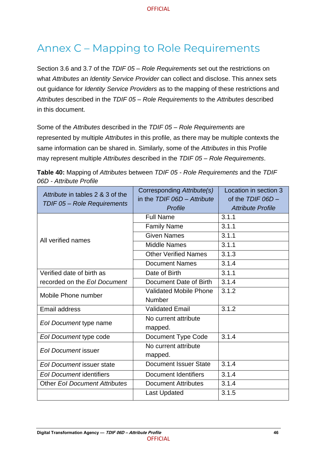## <span id="page-52-0"></span>Annex C – Mapping to Role Requirements

Section 3.6 and 3.7 of the *TDIF 05 – Role Requirements* set out the restrictions on what *Attributes* an *Identity Service Provider* can collect and disclose. This annex sets out guidance for *Identity Service Providers* as to the mapping of these restrictions and *Attributes* described in the *TDIF 05 – Role Requirements* to the *Attributes* described in this document.

Some of the *Attributes* described in the *TDIF 05 – Role Requirements* are represented by multiple *Attributes* in this profile, as there may be multiple contexts the same information can be shared in. Similarly, some of the *Attributes* in this Profile may represent multiple *Attributes* described in the *TDIF 05 – Role Requirements*.

<span id="page-52-1"></span>

| Table 40: Mapping of Attributes between TDIF 05 - Role Requirements and the TDIF |  |  |
|----------------------------------------------------------------------------------|--|--|
| 06D - Attribute Profile                                                          |  |  |

| Attribute in tables 2 & 3 of the<br>TDIF 05 - Role Requirements | Corresponding Attribute(s)<br>in the $TDIF$ $06D -$ Attribute<br>Profile | Location in section 3<br>of the $TDIF$ $06D -$<br><b>Attribute Profile</b> |
|-----------------------------------------------------------------|--------------------------------------------------------------------------|----------------------------------------------------------------------------|
| All verified names                                              | <b>Full Name</b>                                                         | 3.1.1                                                                      |
|                                                                 | <b>Family Name</b>                                                       | 3.1.1                                                                      |
|                                                                 | <b>Given Names</b>                                                       | 3.1.1                                                                      |
|                                                                 | <b>Middle Names</b>                                                      | 3.1.1                                                                      |
|                                                                 | <b>Other Verified Names</b>                                              | 3.1.3                                                                      |
|                                                                 | <b>Document Names</b>                                                    | 3.1.4                                                                      |
| Verified date of birth as                                       | Date of Birth                                                            | 3.1.1                                                                      |
| recorded on the Eol Document                                    | Document Date of Birth                                                   | 3.1.4                                                                      |
| Mobile Phone number                                             | <b>Validated Mobile Phone</b>                                            | 3.1.2                                                                      |
|                                                                 | <b>Number</b>                                                            |                                                                            |
| <b>Email address</b>                                            | <b>Validated Email</b>                                                   | 3.1.2                                                                      |
| Eol Document type name                                          | No current attribute                                                     |                                                                            |
|                                                                 | mapped.                                                                  |                                                                            |
| Eol Document type code                                          | Document Type Code                                                       | 3.1.4                                                                      |
| <b>Eol Document issuer</b>                                      | No current attribute                                                     |                                                                            |
|                                                                 | mapped.                                                                  |                                                                            |
| <b>Eol Document issuer state</b>                                | <b>Document Issuer State</b>                                             | 3.1.4                                                                      |
| <b>Eol Document identifiers</b>                                 | <b>Document Identifiers</b>                                              | 3.1.4                                                                      |
| <b>Other Eol Document Attributes</b>                            | <b>Document Attributes</b>                                               | 3.1.4                                                                      |
|                                                                 | <b>Last Updated</b>                                                      | 3.1.5                                                                      |